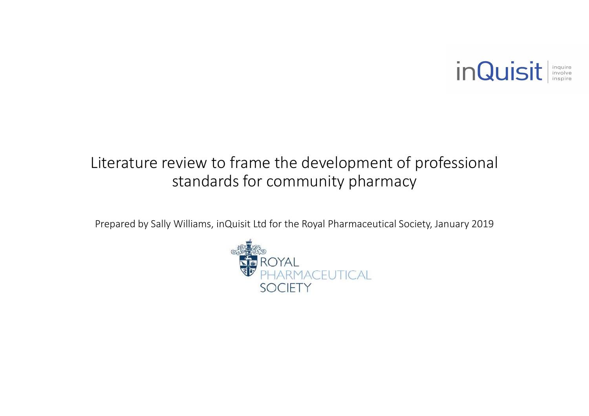

### Literature review to frame the development of professional standards for community pharmacy

Prepared by Sally Williams, inQuisit Ltd for the Royal Pharmaceutical Society, January 2019

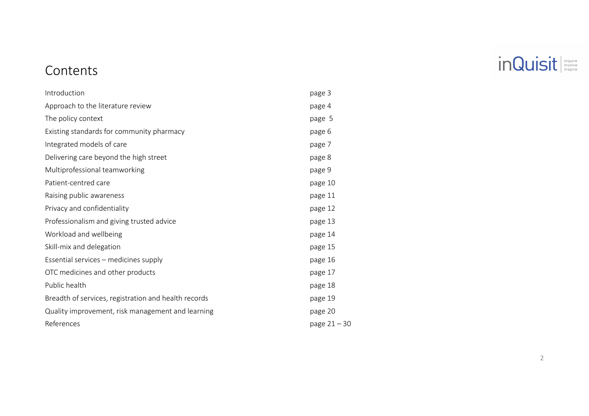

### Contents

| Introduction                                         | page 3         |
|------------------------------------------------------|----------------|
| Approach to the literature review                    | page 4         |
| The policy context                                   | page 5         |
| Existing standards for community pharmacy            | page 6         |
| Integrated models of care                            | page 7         |
| Delivering care beyond the high street               | page 8         |
| Multiprofessional teamworking                        | page 9         |
| Patient-centred care                                 | page 10        |
| Raising public awareness                             | page 11        |
| Privacy and confidentiality                          | page 12        |
| Professionalism and giving trusted advice            | page 13        |
| Workload and wellbeing                               | page 14        |
| Skill-mix and delegation                             | page 15        |
| Essential services - medicines supply                | page 16        |
| OTC medicines and other products                     | page 17        |
| Public health                                        | page 18        |
| Breadth of services, registration and health records | page 19        |
| Quality improvement, risk management and learning    | page 20        |
| References                                           | page $21 - 30$ |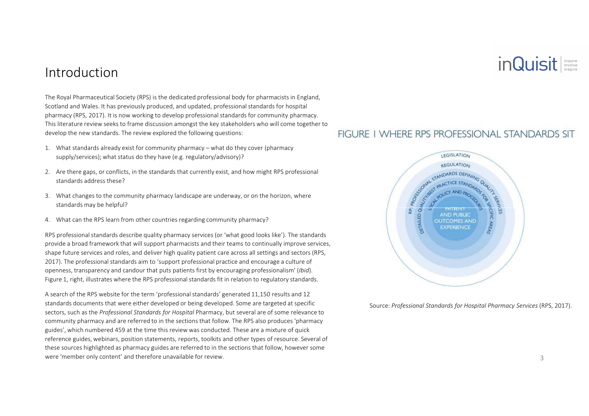### inQuisit

### Introduction

The Royal Pharmaceutical Society (RPS) is the dedicated professional body for pharmacists in England, Scotland and Wales. It has previously produced, and updated, professional standards for hospital pharmacy (RPS, 2017). It is now working to develop professional standards for community pharmacy. This literature review seeks to frame discussion amongst the key stakeholders who will come together to develop the new standards. The review explored the following questions:

- 1. What standards already exist for community pharmacy what do they cover (pharmacy supply/services); what status do they have (e.g. regulatory/advisory)?
- 2. Are there gaps, or conflicts, in the standards that currently exist, and how might RPS professional standards address these?
- 3. What changes to the community pharmacy landscape are underway, or on the horizon, where standards may be helpful?
- 4. What can the RPS learn from other countries regarding community pharmacy?

RPS professional standards describe quality pharmacy services (or 'what good looks like'). The standards provide a broad framework that will support pharmacists and their teams to continually improve services, shape future services and roles, and deliver high quality patient care across all settings and sectors (RPS, 2017). The professional standards aim to 'support professional practice and encourage a culture of openness, transparency and candour that puts patients first by encouraging professionalism' (*Ibid*). Figure 1, right, illustrates where the RPS professional standards fit in relation to regulatory standards.

A search of the RPS website for the term 'professional standards' generated 11,150 results and 12 standards documents that were either developed or being developed. Some are targeted at specific sectors, such as the *Professional Standards for Hospital* Pharmacy, but several are of some relevance to community pharmacy and are referred to in the sections that follow. The RPS also produces 'pharmacy guides', which numbered 459 at the time this review was conducted. These are a mixture of quick reference guides, webinars, position statements, reports, toolkits and other types of resource. Several of these sources highlighted as pharmacy guides are referred to in the sections that follow, however somewere 'member only content' and therefore unavailable for review.

#### FIGURE I WHERE RPS PROFESSIONAL STANDARDS SIT



Source: *Professional Standards for Hospital Pharmacy Services* (RPS, 2017).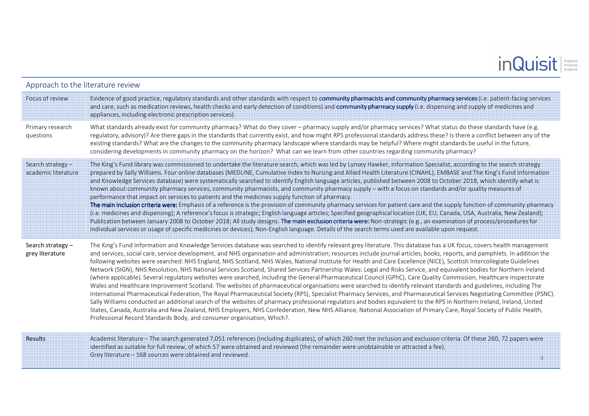# inQuisit

| Approach to the literature review        |                                                                                                                                                                                                                                                                                                                                                                                                                                                                                                                                                                                                                                                                                                                                                                                                                                                                                                                                                                                                                                                                                                                                                                                                                                                                                                                                                                                                                                                                                                                                                                                                                                                                |  |  |
|------------------------------------------|----------------------------------------------------------------------------------------------------------------------------------------------------------------------------------------------------------------------------------------------------------------------------------------------------------------------------------------------------------------------------------------------------------------------------------------------------------------------------------------------------------------------------------------------------------------------------------------------------------------------------------------------------------------------------------------------------------------------------------------------------------------------------------------------------------------------------------------------------------------------------------------------------------------------------------------------------------------------------------------------------------------------------------------------------------------------------------------------------------------------------------------------------------------------------------------------------------------------------------------------------------------------------------------------------------------------------------------------------------------------------------------------------------------------------------------------------------------------------------------------------------------------------------------------------------------------------------------------------------------------------------------------------------------|--|--|
| Focus of review                          | Evidence of good practice, regulatory standards and other standards with respect to community pharmacists and community pharmacy services (i.e. patient-facing services<br>and care, such as medication reviews, health checks and early detection of conditions) and community pharmacy supply (i.e. dispensing and supply of medicines and<br>appliances, including electronic prescription services).                                                                                                                                                                                                                                                                                                                                                                                                                                                                                                                                                                                                                                                                                                                                                                                                                                                                                                                                                                                                                                                                                                                                                                                                                                                       |  |  |
| Primary research<br>questions            | What standards already exist for community pharmacy? What do they cover - pharmacy supply and/or pharmacy services? What status do these standards have (e.g.<br>regulatory, advisory)? Are there gaps in the standards that currently exist, and how might RPS professional standards address these? Is there a conflict between any of the<br>existing standards? What are the changes to the community pharmacy landscape where standards may be helpful? Where might standards be useful in the future,<br>considering developments in community pharmacy on the horizon? What can we learn from other countries regarding community pharmacy?                                                                                                                                                                                                                                                                                                                                                                                                                                                                                                                                                                                                                                                                                                                                                                                                                                                                                                                                                                                                             |  |  |
| Search strategy -<br>academic literature | The King's Fund library was commissioned to undertake the literature search, which was led by Lynsey Hawker, Information Specialist, according to the search strategy<br>prepared by Sally Williams. Four online databases (MEDLINE, Cumulative Index to Nursing and Allied Health Literature (CINAHL), EMBASE and The King's Fund Information<br>and Knowledge Services database) were systematically searched to identify English language articles, published between 2008 to October 2018, which identify what is<br>known about community pharmacy services, community pharmacists, and community pharmacy supply – with a focus on standards and/or quality measures of<br>performance that impact on services to patients and the medicines supply function of pharmacy.<br>The main inclusion criteria were: Emphasis of a reference is the provision of community pharmacy services for patient care and the supply function of community pharmacy<br>(i.e. medicines and dispensing); A reference's focus is strategic; English language articles; Specified geographical location (UK, EU, Canada, USA, Australia, New Zealand);<br>Publication between January 2008 to October 2018; All study designs. The main exclusion criteria were: Non-strategic (e.g., an examination of process/procedures for<br>individual services or usage of specific medicines or devices); Non-English language. Details of the search terms used are available upon request.                                                                                                                                                                                      |  |  |
| Search strategy $-$<br>grey literature   | The King's Fund Information and Knowledge Services database was searched to identify relevant grey literature. This database has a UK focus, covers health management<br>and services, social care, service development, and NHS organisation and administration; resources include journal articles, books, reports, and pamphlets. In addition the<br>following websites were searched: NHS England, NHS Scotland, NHS Wales, National Institute for Health and Care Excellence (NICE), Scottish Intercollegiate Guidelines<br>Network (SIGN), NHS Resolution, NHS National Services Scotland, Shared Services Partnership Wales: Legal and Risks Service, and equivalent bodies for Northern Ireland<br>(where applicable). Several regulatory websites were searched, including the General Pharmaceutical Council (GPhC), Care Quality Commission, Healthcare Inspectorate<br>Wales and Healthcare Improvement Scotland. The websites of pharmaceutical organisations were searched to identify relevant standards and guidelines, including The<br>International Pharmaceutical Federation, The Royal Pharmaceutical Society (RPS), Specialist Pharmacy Services, and Pharmaceutical Services Negotiating Committee (PSNC).<br>Sally Williams conducted an additional search of the websites of pharmacy professional regulators and bodies equivalent to the RPS in Northern Ireland, Ireland, United<br>States, Canada, Australia and New Zealand, NHS Employers, NHS Confederation, New NHS Alliance, National Association of Primary Care, Royal Society of Public Health,<br>Professional Record Standards Body, and consumer organisation, Which?. |  |  |

 Academic literature – The search generated 7,051 references (including duplicates), of which 260 met the inclusion and exclusion criteria. Of these 260, 72 papers were identified as suitable for full review, of which 57 were obtained and reviewed (the remainder were unobtainable or attracted a fee). Grey literature – 168 sources were obtained and reviewed. <sup>4</sup>

Results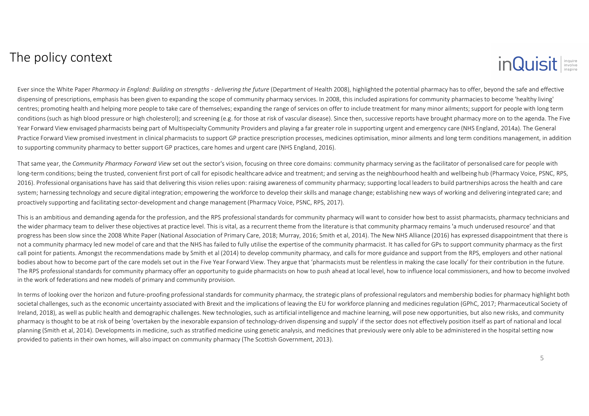### The policy context



Ever since the White Paper *Pharmacy in England: Building on strengths - delivering the future* (Department of Health 2008), highlighted the potential pharmacy has to offer, beyond the safe and effective dispensing of prescriptions, emphasis has been given to expanding the scope of community pharmacy services. In 2008, this included aspirations for community pharmacies to become 'healthy living' centres; promoting health and helping more people to take care of themselves; expanding the range of services on offer to include treatment for many minor ailments; support for people with long term conditions (such as high blood pressure or high cholesterol); and screening (e.g. for those at risk of vascular disease). Since then, successive reports have brought pharmacy more on to the agenda. The Five Year Forward View envisaged pharmacists being part of Multispecialty Community Providers and playing a far greater role in supporting urgent and emergency care (NHS England, 2014a). The General Practice Forward View promised investment in clinical pharmacists to support GP practice prescription processes, medicines optimisation, minor ailments and long term conditions management, in addition to supporting community pharmacy to better support GP practices, care homes and urgent care (NHS England, 2016).

That same year, the *Community Pharmacy Forward View* set out the sector's vision, focusing on three core domains: community pharmacy serving as the facilitator of personalised care for people with long-term conditions; being the trusted, convenient first port of call for episodic healthcare advice and treatment; and serving as the neighbourhood health and wellbeing hub (Pharmacy Voice, PSNC, RPS, 2016). Professional organisations have has said that delivering this vision relies upon: raising awareness of community pharmacy; supporting local leaders to build partnerships across the health and care system; harnessing technology and secure digital integration; empowering the workforce to develop their skills and manage change; establishing new ways of working and delivering integrated care; and proactively supporting and facilitating sector-development and change management (Pharmacy Voice, PSNC, RPS, 2017).

This is an ambitious and demanding agenda for the profession, and the RPS professional standards for community pharmacy will want to consider how best to assist pharmacists, pharmacy technicians and the wider pharmacy team to deliver these objectives at practice level. This is vital, as a recurrent theme from the literature is that community pharmacy remains 'a much underused resource' and that progress has been slow since the 2008 White Paper (National Association of Primary Care, 2018; Murray, 2016; Smith et al, 2014). The New NHS Alliance (2016) has expressed disappointment that there is not a community pharmacy led new model of care and that the NHS has failed to fully utilise the expertise of the community pharmacist. It has called for GPs to support community pharmacy as the first call point for patients. Amongst the recommendations made by Smith et al (2014) to develop community pharmacy, and calls for more guidance and support from the RPS, employers and other national bodies about how to become part of the care models set out in the Five Year Forward View. They argue that 'pharmacists must be relentless in making the case locally' for their contribution in the future. The RPS professional standards for community pharmacy offer an opportunity to guide pharmacists on how to push ahead at local level, how to influence local commissioners, and how to become involved in the work of federations and new models of primary and community provision.

In terms of looking over the horizon and future-proofing professional standards for community pharmacy, the strategic plans of professional regulators and membership bodies for pharmacy highlight both societal challenges, such as the economic uncertainty associated with Brexit and the implications of leaving the EU for workforce planning and medicines regulation (GPhC, 2017; Pharmaceutical Society of Ireland, 2018), as well as public health and demographic challenges. New technologies, such as artificial intelligence and machine learning, will pose new opportunities, but also new risks, and community pharmacy is thought to be at risk of being 'overtaken by the inexorable expansion of technology-driven dispensing and supply' if the sector does not effectively position itself as part of national and local planning (Smith et al, 2014). Developments in medicine, such as stratified medicine using genetic analysis, and medicines that previously were only able to be administered in the hospital setting now provided to patients in their own homes, will also impact on community pharmacy (The Scottish Government, 2013).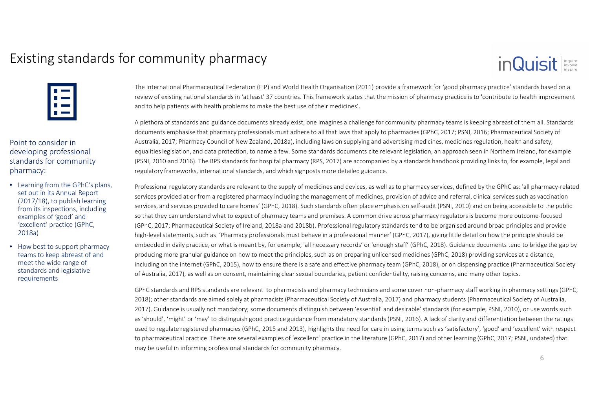### Existing standards for community pharmacy

| ۱ |  |
|---|--|
| L |  |
|   |  |
| L |  |
|   |  |

Point to consider in developing professional standards for community pharmacy:

- Learning from the GPhC's plans, set out in its Annual Report (2017/18), to publish learning from its inspections, including examples of 'good' and 'excellent' practice (GPhC, 2018a)
- How best to support pharmacy teams to keep abreast of and meet the wide range of standards and legislative requirements

The International Pharmaceutical Federation (FIP) and World Health Organisation (2011) provide a framework for 'good pharmacy practice' standards based on a review of existing national standards in 'at least' 37 countries. This framework states that the mission of pharmacy practice is to 'contribute to health improvement and to help patients with health problems to make the best use of their medicines'.

A plethora of standards and guidance documents already exist; one imagines a challenge for community pharmacy teams is keeping abreast of them all. Standards documents emphasise that pharmacy professionals must adhere to all that laws that apply to pharmacies (GPhC, 2017; PSNI, 2016; Pharmaceutical Society of Australia, 2017; Pharmacy Council of New Zealand, 2018a), including laws on supplying and advertising medicines, medicines regulation, health and safety,equalities legislation, and data protection, to name a few. Some standards documents cite relevant legislation, an approach seen in Northern Ireland, for example (PSNI, 2010 and 2016). The RPS standards for hospital pharmacy (RPS, 2017) are accompanied by a standards handbook providing links to, for example, legal and regulatory frameworks, international standards, and which signposts more detailed guidance.

Professional regulatory standards are relevant to the supply of medicines and devices, as well as to pharmacy services, defined by the GPhC as: 'all pharmacy-related services provided at or from a registered pharmacy including the management of medicines, provision of advice and referral, clinical services such as vaccination services, and services provided to care homes' (GPhC, 2018). Such standards often place emphasis on self-audit (PSNI, 2010) and on being accessible to the public so that they can understand what to expect of pharmacy teams and premises. A common drive across pharmacy regulators is become more outcome-focused (GPhC, 2017; Pharmaceutical Society of Ireland, 2018a and 2018b). Professional regulatory standards tend to be organised around broad principles and provide high-level statements, such as 'Pharmacy professionals must behave in a professional manner' (GPhC, 2017), giving little detail on how the principle should be embedded in daily practice, or what is meant by, for example, 'all necessary records' or 'enough staff' (GPhC, 2018). Guidance documents tend to bridge the gap by producing more granular guidance on how to meet the principles, such as on preparing unlicensed medicines (GPhC, 2018) providing services at a distance, including on the internet (GPhC, 2015), how to ensure there is a safe and effective pharmacy team (GPhC, 2018), or on dispensing practice (Pharmaceutical Society of Australia, 2017), as well as on consent, maintaining clear sexual boundaries, patient confidentiality, raising concerns, and many other topics.

GPhC standards and RPS standards are relevant to pharmacists and pharmacy technicians and some cover non-pharmacy staff working in pharmacy settings (GPhC, 2018); other standards are aimed solely at pharmacists (Pharmaceutical Society of Australia, 2017) and pharmacy students (Pharmaceutical Society of Australia, 2017). Guidance is usually not mandatory; some documents distinguish between 'essential' and desirable' standards (for example, PSNI, 2010), or use words such as 'should', 'might' or 'may' to distinguish good practice guidance from mandatory standards (PSNI, 2016). A lack of clarity and differentiation between the ratings used to regulate registered pharmacies (GPhC, 2015 and 2013), highlights the need for care in using terms such as 'satisfactory', 'good' and 'excellent' with respect to pharmaceutical practice. There are several examples of 'excellent' practice in the literature (GPhC, 2017) and other learning (GPhC, 2017; PSNI, undated) that may be useful in informing professional standards for community pharmacy.

inQuisit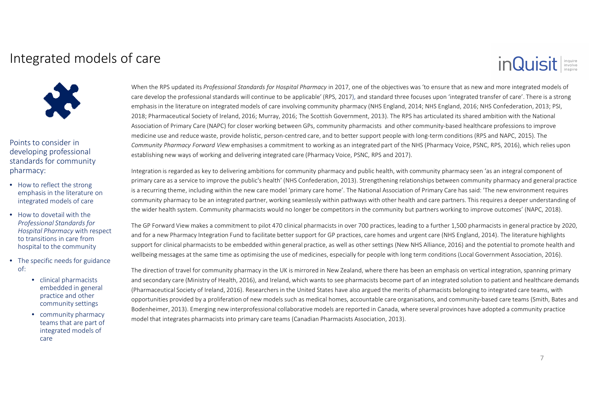### Integrated models of care

Points to consider in developing professional standards for community pharmacy:

- How to reflect the strong emphasis in the literature on integrated models of care
- How to dovetail with the *Professional Standards for Hospital Pharmacy* with respect to transitions in care from hospital to the community
- The specific needs for guidance of:
	- clinical pharmacists embedded in general practice and other community settings
	- community pharmacy teams that are part of integrated models of care

When the RPS updated its *Professional Standards for Hospital Pharmacy* in 2017, one of the objectives was 'to ensure that as new and more integrated models of care develop the professional standards will continue to be applicable' (RPS, 2017), and standard three focuses upon 'integrated transfer of care'. There is a strong emphasis in the literature on integrated models of care involving community pharmacy (NHS England, 2014; NHS England, 2016; NHS Confederation, 2013; PSI,2018; Pharmaceutical Society of Ireland, 2016; Murray, 2016; The Scottish Government, 2013). The RPS has articulated its shared ambition with the National Association of Primary Care (NAPC) for closer working between GPs, community pharmacists and other community-based healthcare professions to improve medicine use and reduce waste, provide holistic, person-centred care, and to better support people with long-term conditions (RPS and NAPC, 2015). The *Community Pharmacy Forward View* emphasises a commitment to working as an integrated part of the NHS (Pharmacy Voice, PSNC, RPS, 2016), which relies upon establishing new ways of working and delivering integrated care (Pharmacy Voice, PSNC, RPS and 2017).

Integration is regarded as key to delivering ambitions for community pharmacy and public health, with community pharmacy seen 'as an integral component of primary care as a service to improve the public's health' (NHS Confederation, 2013). Strengthening relationships between community pharmacy and general practice is a recurring theme, including within the new care model 'primary care home'. The National Association of Primary Care has said: 'The new environment requires community pharmacy to be an integrated partner, working seamlessly within pathways with other health and care partners. This requires a deeper understanding of the wider health system. Community pharmacists would no longer be competitors in the community but partners working to improve outcomes' (NAPC, 2018).

The GP Forward View makes a commitment to pilot 470 clinical pharmacists in over 700 practices, leading to a further 1,500 pharmacists in general practice by 2020, and for a new Pharmacy Integration Fund to facilitate better support for GP practices, care homes and urgent care (NHS England, 2014). The literature highlights support for clinical pharmacists to be embedded within general practice, as well as other settings (New NHS Alliance, 2016) and the potential to promote health and wellbeing messages at the same time as optimising the use of medicines, especially for people with long term conditions (Local Government Association, 2016).

The direction of travel for community pharmacy in the UK is mirrored in New Zealand, where there has been an emphasis on vertical integration, spanning primary and secondary care (Ministry of Health, 2016), and Ireland, which wants to see pharmacists become part of an integrated solution to patient and healthcare demands (Pharmaceutical Society of Ireland, 2016). Researchers in the United States have also argued the merits of pharmacists belonging to integrated care teams, with opportunities provided by a proliferation of new models such as medical homes, accountable care organisations, and community-based care teams (Smith, Bates and Bodenheimer, 2013). Emerging new interprofessional collaborative models are reported in Canada, where several provinces have adopted a community practicemodel that integrates pharmacists into primary care teams (Canadian Pharmacists Association, 2013).

inQuisit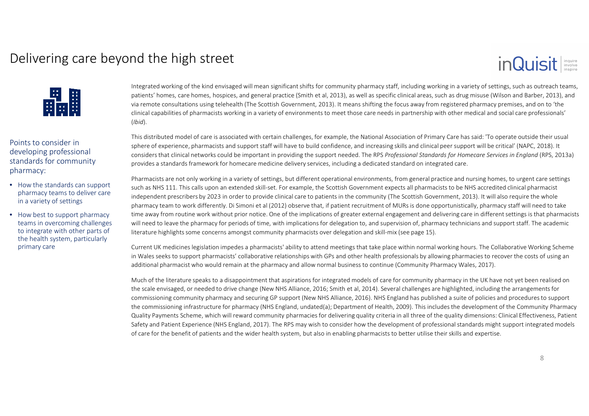### Delivering care beyond the high street

### inQuisit



Points to consider in developing professional standards for community pharmacy:

- How the standards can support pharmacy teams to deliver care in a variety of settings
- How best to support pharmacy teams in overcoming challenges to integrate with other parts of the health system, particularly primary care

Integrated working of the kind envisaged will mean significant shifts for community pharmacy staff, including working in a variety of settings, such as outreach teams, patients' homes, care homes, hospices, and general practice (Smith et al, 2013), as well as specific clinical areas, such as drug misuse (Wilson and Barber, 2013), and via remote consultations using telehealth (The Scottish Government, 2013). It means shifting the focus away from registered pharmacy premises, and on to 'the clinical capabilities of pharmacists working in a variety of environments to meet those care needs in partnership with other medical and social care professionals' (*Ibid*).

This distributed model of care is associated with certain challenges, for example, the National Association of Primary Care has said: 'To operate outside their usual sphere of experience, pharmacists and support staff will have to build confidence, and increasing skills and clinical peer support will be critical' (NAPC, 2018). It considers that clinical networks could be important in providing the support needed. The RPS *Professional Standards for Homecare Services in England* (RPS, 2013a) provides a standards framework for homecare medicine delivery services, including a dedicated standard on integrated care.

Pharmacists are not only working in a variety of settings, but different operational environments, from general practice and nursing homes, to urgent care settings such as NHS 111. This calls upon an extended skill-set. For example, the Scottish Government expects all pharmacists to be NHS accredited clinical pharmacist independent prescribers by 2023 in order to provide clinical care to patients in the community (The Scottish Government, 2013). It will also require the whole pharmacy team to work differently. Di Simoni et al (2012) observe that, if patient recruitment of MURs is done opportunistically, pharmacy staff will need to take time away from routine work without prior notice. One of the implications of greater external engagement and delivering care in different settings is that pharmacists will need to leave the pharmacy for periods of time, with implications for delegation to, and supervision of, pharmacy technicians and support staff. The academic literature highlights some concerns amongst community pharmacists over delegation and skill-mix (see page 15).

Current UK medicines legislation impedes a pharmacists' ability to attend meetings that take place within normal working hours. The Collaborative Working Scheme in Wales seeks to support pharmacists' collaborative relationships with GPs and other health professionals by allowing pharmacies to recover the costs of using an additional pharmacist who would remain at the pharmacy and allow normal business to continue (Community Pharmacy Wales, 2017).

Much of the literature speaks to a disappointment that aspirations for integrated models of care for community pharmacy in the UK have not yet been realised on the scale envisaged, or needed to drive change (New NHS Alliance, 2016; Smith et al, 2014). Several challenges are highlighted, including the arrangements for commissioning community pharmacy and securing GP support (New NHS Alliance, 2016). NHS England has published a suite of policies and procedures to support the commissioning infrastructure for pharmacy (NHS England, undated(a); Department of Health, 2009). This includes the development of the Community Pharmacy Quality Payments Scheme, which will reward community pharmacies for delivering quality criteria in all three of the quality dimensions: Clinical Effectiveness, Patient Safety and Patient Experience (NHS England, 2017). The RPS may wish to consider how the development of professional standards might support integrated models of care for the benefit of patients and the wider health system, but also in enabling pharmacists to better utilise their skills and expertise.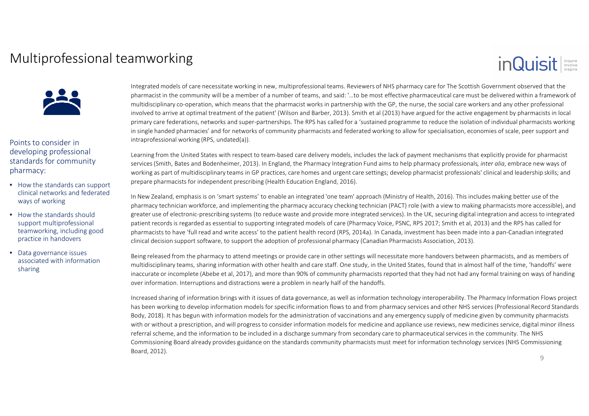### Multiprofessional teamworking

### inQuisit



Points to consider in developing professional standards for community pharmacy:

- How the standards can support clinical networks and federated ways of working
- How the standards should support multiprofessional teamworking, including good practice in handovers
- Data governance issues associated with information sharing

Integrated models of care necessitate working in new, multiprofessional teams. Reviewers of NHS pharmacy care for The Scottish Government observed that the pharmacist in the community will be a member of a number of teams, and said: '…to be most effective pharmaceutical care must be delivered within a framework of multidisciplinary co-operation, which means that the pharmacist works in partnership with the GP, the nurse, the social care workers and any other professional involved to arrive at optimal treatment of the patient' (Wilson and Barber, 2013). Smith et al (2013) have argued for the active engagement by pharmacists in local primary care federations, networks and super-partnerships. The RPS has called for a 'sustained programme to reduce the isolation of individual pharmacists working in single handed pharmacies' and for networks of community pharmacists and federated working to allow for specialisation, economies of scale, peer support and intraprofessional working (RPS, undated(a)).

Learning from the United States with respect to team-based care delivery models, includes the lack of payment mechanisms that explicitly provide for pharmacist services (Smith, Bates and Bodenheimer, 2013). In England, the Pharmacy Integration Fund aims to help pharmacy professionals*, inter alia*, embrace new ways of working as part of multidisciplinary teams in GP practices, care homes and urgent care settings; develop pharmacist professionals' clinical and leadership skills; and prepare pharmacists for independent prescribing (Health Education England, 2016).

In New Zealand, emphasis is on 'smart systems' to enable an integrated 'one team' approach (Ministry of Health, 2016). This includes making better use of the pharmacy technician workforce, and implementing the pharmacy accuracy checking technician (PACT) role (with a view to making pharmacists more accessible), and greater use of electronic-prescribing systems (to reduce waste and provide more integrated services). In the UK, securing digital integration and access to integrated patient records is regarded as essential to supporting integrated models of care (Pharmacy Voice, PSNC, RPS 2017; Smith et al, 2013) and the RPS has called for pharmacists to have 'full read and write access' to the patient health record (RPS, 2014a). In Canada, investment has been made into a pan-Canadian integrated clinical decision support software, to support the adoption of professional pharmacy (Canadian Pharmacists Association, 2013).

Being released from the pharmacy to attend meetings or provide care in other settings will necessitate more handovers between pharmacists, and as members of multidisciplinary teams, sharing information with other health and care staff. One study, in the United States, found that in almost half of the time, 'handoffs' were inaccurate or incomplete (Abebe et al, 2017), and more than 90% of community pharmacists reported that they had not had any formal training on ways of handing over information. Interruptions and distractions were a problem in nearly half of the handoffs.

Increased sharing of information brings with it issues of data governance, as well as information technology interoperability. The Pharmacy Information Flows project has been working to develop information models for specific information flows to and from pharmacy services and other NHS services (Professional Record Standards Body, 2018). It has begun with information models for the administration of vaccinations and any emergency supply of medicine given by community pharmacists with or without a prescription, and will progress to consider information models for medicine and appliance use reviews, new medicines service, digital minor illness referral scheme, and the information to be included in a discharge summary from secondary care to pharmaceutical services in the community. The NHS Commissioning Board already provides guidance on the standards community pharmacists must meet for information technology services (NHS Commissioning Board, 2012).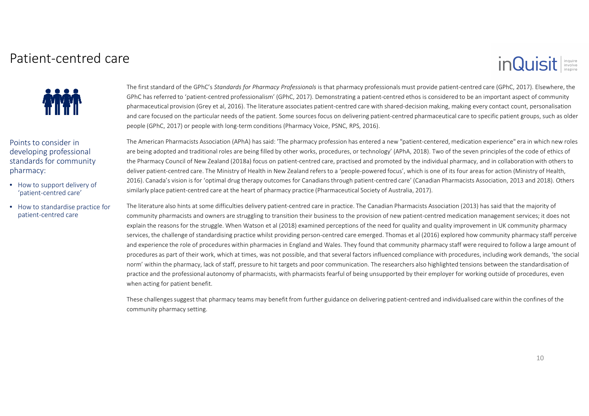#### Patient-centred care

# inQuisit



Points to consider in developing professional standards for community pharmacy:

- How to support delivery of 'patient-centred care'
- How to standardise practice for patient-centred care

The first standard of the GPhC's *Standards for Pharmacy Professionals* is that pharmacy professionals must provide patient-centred care (GPhC, 2017). Elsewhere, the GPhC has referred to 'patient-centred professionalism' (GPhC, 2017). Demonstrating a patient-centred ethos is considered to be an important aspect of community pharmaceutical provision (Grey et al, 2016). The literature associates patient-centred care with shared-decision making, making every contact count, personalisation and care focused on the particular needs of the patient. Some sources focus on delivering patient-centred pharmaceutical care to specific patient groups, such as older people (GPhC, 2017) or people with long-term conditions (Pharmacy Voice, PSNC, RPS, 2016).

The American Pharmacists Association (APhA) has said: 'The pharmacy profession has entered a new "patient-centered, medication experience" era in which new roles are being adopted and traditional roles are being filled by other works, procedures, or technology' (APhA, 2018). Two of the seven principles of the code of ethics of the Pharmacy Council of New Zealand (2018a) focus on patient-centred care, practised and promoted by the individual pharmacy, and in collaboration with others to deliver patient-centred care. The Ministry of Health in New Zealand refers to a 'people-powered focus', which is one of its four areas for action (Ministry of Health, 2016). Canada's vision is for 'optimal drug therapy outcomes for Canadians through patient-centred care' (Canadian Pharmacists Association, 2013 and 2018). Others similarly place patient-centred care at the heart of pharmacy practice (Pharmaceutical Society of Australia, 2017).

The literature also hints at some difficulties delivery patient-centred care in practice. The Canadian Pharmacists Association (2013) has said that the majority of community pharmacists and owners are struggling to transition their business to the provision of new patient-centred medication management services; it does not explain the reasons for the struggle. When Watson et al (2018) examined perceptions of the need for quality and quality improvement in UK community pharmacy services, the challenge of standardising practice whilst providing person-centred care emerged. Thomas et al (2016) explored how community pharmacy staff perceive and experience the role of procedures within pharmacies in England and Wales. They found that community pharmacy staff were required to follow a large amount of procedures as part of their work, which at times, was not possible, and that several factors influenced compliance with procedures, including work demands, 'the social norm' within the pharmacy, lack of staff, pressure to hit targets and poor communication. The researchers also highlighted tensions between the standardisation of practice and the professional autonomy of pharmacists, with pharmacists fearful of being unsupported by their employer for working outside of procedures, even when acting for patient benefit.

These challenges suggest that pharmacy teams may benefit from further guidance on delivering patient-centred and individualised care within the confines of the community pharmacy setting.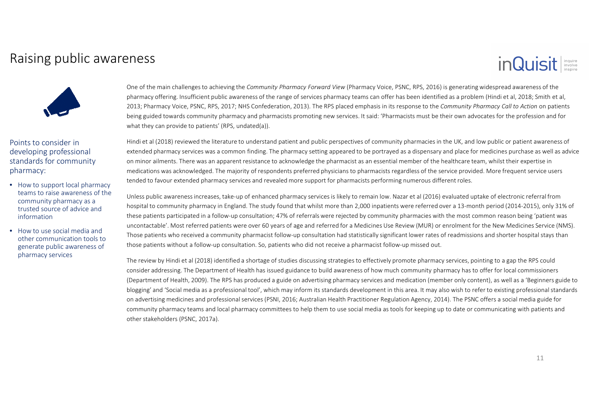### Raising public awareness

# inQuisit



Points to consider in developing professional standards for community pharmacy:

- How to support local pharmacy teams to raise awareness of the community pharmacy as a trusted source of advice and information
- How to use social media and other communication tools to generate public awareness of pharmacy services

One of the main challenges to achieving the *Community Pharmacy Forward View* (Pharmacy Voice, PSNC, RPS, 2016) is generating widespread awareness of the pharmacy offering. Insufficient public awareness of the range of services pharmacy teams can offer has been identified as a problem (Hindi et al, 2018; Smith et al, 2013; Pharmacy Voice, PSNC, RPS, 2017; NHS Confederation, 2013). The RPS placed emphasis in its response to the *Community Pharmacy Call to Action* on patients being guided towards community pharmacy and pharmacists promoting new services. It said: 'Pharmacists must be their own advocates for the profession and for what they can provide to patients' (RPS, undated(a)).

Hindi et al (2018) reviewed the literature to understand patient and public perspectives of community pharmacies in the UK, and low public or patient awareness of extended pharmacy services was a common finding. The pharmacy setting appeared to be portrayed as a dispensary and place for medicines purchase as well as advice on minor ailments. There was an apparent resistance to acknowledge the pharmacist as an essential member of the healthcare team, whilst their expertise in medications was acknowledged. The majority of respondents preferred physicians to pharmacists regardless of the service provided. More frequent service users tended to favour extended pharmacy services and revealed more support for pharmacists performing numerous different roles.

Unless public awareness increases, take-up of enhanced pharmacy services is likely to remain low. Nazar et al (2016) evaluated uptake of electronic referral from hospital to community pharmacy in England. The study found that whilst more than 2,000 inpatients were referred over a 13-month period (2014-2015), only 31% of these patients participated in a follow-up consultation; 47% of referrals were rejected by community pharmacies with the most common reason being 'patient was uncontactable'. Most referred patients were over 60 years of age and referred for a Medicines Use Review (MUR) or enrolment for the New Medicines Service (NMS). Those patients who received a community pharmacist follow-up consultation had statistically significant lower rates of readmissions and shorter hospital stays than those patients without a follow-up consultation. So, patients who did not receive a pharmacist follow-up missed out.

The review by Hindi et al (2018) identified a shortage of studies discussing strategies to effectively promote pharmacy services, pointing to a gap the RPS could consider addressing. The Department of Health has issued guidance to build awareness of how much community pharmacy has to offer for local commissioners (Department of Health, 2009). The RPS has produced a guide on advertising pharmacy services and medication (member only content), as well as a 'Beginners guide to blogging' and 'Social media as a professional tool', which may inform its standards development in this area. It may also wish to refer to existing professional standards on advertising medicines and professional services (PSNI, 2016; Australian Health Practitioner Regulation Agency, 2014). The PSNC offers a social media guide for community pharmacy teams and local pharmacy committees to help them to use social media as tools for keeping up to date or communicating with patients and other stakeholders (PSNC, 2017a).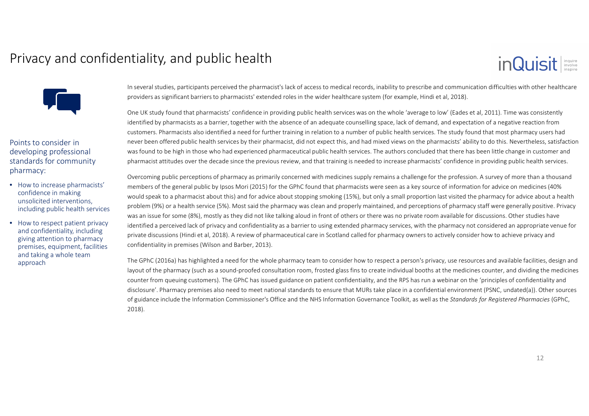### Privacy and confidentiality, and public health



Points to consider in developing professional standards for community pharmacy:

- How to increase pharmacists' confidence in making unsolicited interventions, including public health services
- How to respect patient privacy and confidentiality, including giving attention to pharmacy premises, equipment, facilities and taking a whole team approach

In several studies, participants perceived the pharmacist's lack of access to medical records, inability to prescribe and communication difficulties with other healthcare providers as significant barriers to pharmacists' extended roles in the wider healthcare system (for example, Hindi et al, 2018).

One UK study found that pharmacists' confidence in providing public health services was on the whole 'average to low' (Eades et al, 2011). Time was consistently identified by pharmacists as a barrier, together with the absence of an adequate counselling space, lack of demand, and expectation of a negative reaction from customers. Pharmacists also identified a need for further training in relation to a number of public health services. The study found that most pharmacy users had never been offered public health services by their pharmacist, did not expect this, and had mixed views on the pharmacists' ability to do this. Nevertheless, satisfaction was found to be high in those who had experienced pharmaceutical public health services. The authors concluded that there has been little change in customer and pharmacist attitudes over the decade since the previous review, and that training is needed to increase pharmacists' confidence in providing public health services.

Overcoming public perceptions of pharmacy as primarily concerned with medicines supply remains a challenge for the profession. A survey of more than a thousand members of the general public by Ipsos Mori (2015) for the GPhC found that pharmacists were seen as a key source of information for advice on medicines (40% would speak to a pharmacist about this) and for advice about stopping smoking (15%), but only a small proportion last visited the pharmacy for advice about a health problem (9%) or a health service (5%). Most said the pharmacy was clean and properly maintained, and perceptions of pharmacy staff were generally positive. Privacy was an issue for some (8%), mostly as they did not like talking aloud in front of others or there was no private room available for discussions. Other studies have identified a perceived lack of privacy and confidentiality as a barrier to using extended pharmacy services, with the pharmacy not considered an appropriate venue for private discussions (Hindi et al, 2018). A review of pharmaceutical care in Scotland called for pharmacy owners to actively consider how to achieve privacy and confidentiality in premises (Wilson and Barber, 2013).

The GPhC (2016a) has highlighted a need for the whole pharmacy team to consider how to respect a person's privacy, use resources and available facilities, design and layout of the pharmacy (such as a sound-proofed consultation room, frosted glass fins to create individual booths at the medicines counter, and dividing the medicines counter from queuing customers). The GPhC has issued guidance on patient confidentiality, and the RPS has run a webinar on the 'principles of confidentiality and disclosure'. Pharmacy premises also need to meet national standards to ensure that MURs take place in a confidential environment (PSNC, undated(a)). Other sources of guidance include the Information Commissioner's Office and the NHS Information Governance Toolkit, as well as the *Standards for Registered Pharmacies* (GPhC, 2018).

inQuisit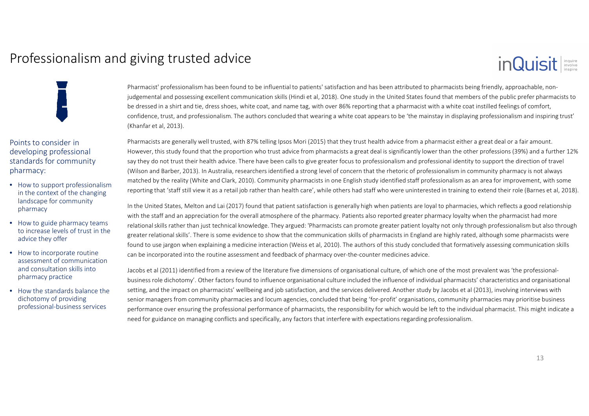### Professionalism and giving trusted advice



Points to consider in developing professional standards for community pharmacy:

- How to support professionalism in the context of the changing landscape for community pharmacy
- How to guide pharmacy teams to increase levels of trust in the advice they offer
- How to incorporate routine assessment of communication and consultation skills into pharmacy practice
- How the standards balance the dichotomy of providing professional-business services

Pharmacist' professionalism has been found to be influential to patients' satisfaction and has been attributed to pharmacists being friendly, approachable, nonjudgemental and possessing excellent communication skills (Hindi et al, 2018). One study in the United States found that members of the public prefer pharmacists to be dressed in a shirt and tie, dress shoes, white coat, and name tag, with over 86% reporting that a pharmacist with a white coat instilled feelings of comfort, confidence, trust, and professionalism. The authors concluded that wearing a white coat appears to be 'the mainstay in displaying professionalism and inspiring trust'(Khanfar et al, 2013).

Pharmacists are generally well trusted, with 87% telling Ipsos Mori (2015) that they trust health advice from a pharmacist either a great deal or a fair amount. However, this study found that the proportion who trust advice from pharmacists a great deal is significantly lower than the other professions (39%) and a further 12% say they do not trust their health advice. There have been calls to give greater focus to professionalism and professional identity to support the direction of travel (Wilson and Barber, 2013). In Australia, researchers identified a strong level of concern that the rhetoric of professionalism in community pharmacy is not always matched by the reality (White and Clark, 2010). Community pharmacists in one English study identified staff professionalism as an area for improvement, with some reporting that 'staff still view it as a retail job rather than health care', while others had staff who were uninterested in training to extend their role (Barnes et al, 2018).

In the United States, Melton and Lai (2017) found that patient satisfaction is generally high when patients are loyal to pharmacies, which reflects a good relationship with the staff and an appreciation for the overall atmosphere of the pharmacy. Patients also reported greater pharmacy loyalty when the pharmacist had more relational skills rather than just technical knowledge. They argued: 'Pharmacists can promote greater patient loyalty not only through professionalism but also through greater relational skills'. There is some evidence to show that the communication skills of pharmacists in England are highly rated, although some pharmacists were found to use jargon when explaining a medicine interaction (Weiss et al, 2010). The authors of this study concluded that formatively assessing communication skills can be incorporated into the routine assessment and feedback of pharmacy over-the-counter medicines advice.

Jacobs et al (2011) identified from a review of the literature five dimensions of organisational culture, of which one of the most prevalent was 'the professionalbusiness role dichotomy'. Other factors found to influence organisational culture included the influence of individual pharmacists' characteristics and organisational setting, and the impact on pharmacists' wellbeing and job satisfaction, and the services delivered. Another study by Jacobs et al (2013), involving interviews with senior managers from community pharmacies and locum agencies, concluded that being 'for-profit' organisations, community pharmacies may prioritise business performance over ensuring the professional performance of pharmacists, the responsibility for which would be left to the individual pharmacist. This might indicate a need for guidance on managing conflicts and specifically, any factors that interfere with expectations regarding professionalism.

inQuisit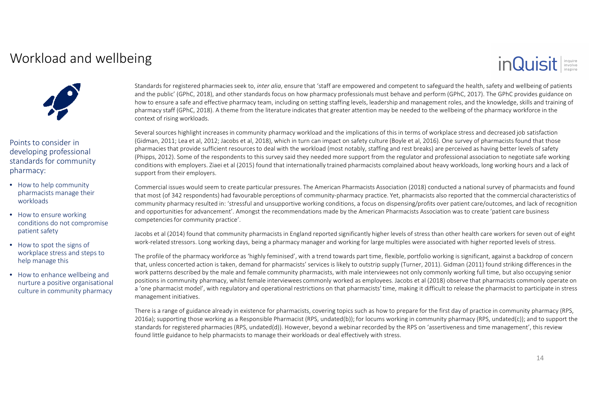### Workload and wellbeing

### inQuisit



Points to consider in developing professional standards for community pharmacy:

- How to help community pharmacists manage their workloads
- How to ensure working conditions do not compromise patient safety
- How to spot the signs of workplace stress and steps to help manage this
- How to enhance wellbeing and nurture a positive organisational culture in community pharmacy

Standards for registered pharmacies seek to, *inter alia*, ensure that 'staff are empowered and competent to safeguard the health, safety and wellbeing of patients and the public' (GPhC, 2018), and other standards focus on how pharmacy professionals must behave and perform (GPhC, 2017). The GPhC provides guidance on how to ensure a safe and effective pharmacy team, including on setting staffing levels, leadership and management roles, and the knowledge, skills and training of pharmacy staff (GPhC, 2018). A theme from the literature indicates that greater attention may be needed to the wellbeing of the pharmacy workforce in thecontext of rising workloads.

Several sources highlight increases in community pharmacy workload and the implications of this in terms of workplace stress and decreased job satisfaction (Gidman, 2011; Lea et al, 2012; Jacobs et al, 2018), which in turn can impact on safety culture (Boyle et al, 2016). One survey of pharmacists found that those pharmacies that provide sufficient resources to deal with the workload (most notably, staffing and rest breaks) are perceived as having better levels of safety (Phipps, 2012). Some of the respondents to this survey said they needed more support from the regulator and professional association to negotiate safe working conditions with employers. Ziaei et al (2015) found that internationally trained pharmacists complained about heavy workloads, long working hours and a lack of support from their employers.

Commercial issues would seem to create particular pressures. The American Pharmacists Association (2018) conducted a national survey of pharmacists and found that most (of 342 respondents) had favourable perceptions of community-pharmacy practice. Yet, pharmacists also reported that the commercial characteristics of community pharmacy resulted in: 'stressful and unsupportive working conditions, a focus on dispensing/profits over patient care/outcomes, and lack of recognition and opportunities for advancement'. Amongst the recommendations made by the American Pharmacists Association was to create 'patient care business competencies for community practice'.

Jacobs et al (2014) found that community pharmacists in England reported significantly higher levels of stress than other health care workers for seven out of eight work-related stressors. Long working days, being a pharma

The profile of the pharmacy workforce as 'highly feminised', with a trend towards part time, flexible, portfolio working is significant, against a backdrop of concern that, unless concerted action is taken, demand for pharmacists' services is likely to outstrip supply (Turner, 2011). Gidman (2011) found striking differences in the work patterns described by the male and female community pharmacists, with male interviewees not only commonly working full time, but also occupying senior positions in community pharmacy, whilst female interviewees commonly worked as employees. Jacobs et al (2018) observe that pharmacists commonly operate on <sup>a</sup>'one pharmacist model', with regulatory and operational restrictions on that pharmacists' time, making it difficult to release the pharmacist to participate in stress management initiatives.

There is a range of guidance already in existence for pharmacists, covering topics such as how to prepare for the first day of practice in community pharmacy (RPS, 2016a); supporting those working as a Responsible Pharmacist (RPS, undated(b)); for locums working in community pharmacy (RPS, undated(c)); and to support the standards for registered pharmacies (RPS, undated(d)). However, beyond a webinar recorded by the RPS on 'assertiveness and time management', this review found little guidance to help pharmacists to manage their workloads or deal effectively with stress.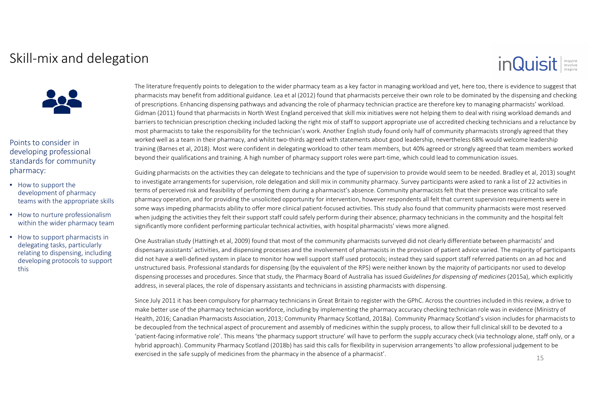### Skill-mix and delegation

# inQuisit



Points to consider in developing professional standards for community pharmacy:

- How to support the development of pharmacy teams with the appropriate skills
- How to nurture professionalism within the wider pharmacy team
- How to support pharmacists in delegating tasks, particularly relating to dispensing, including developing protocols to support this

The literature frequently points to delegation to the wider pharmacy team as a key factor in managing workload and yet, here too, there is evidence to suggest that pharmacists may benefit from additional guidance. Lea et al (2012) found that pharmacists perceive their own role to be dominated by the dispensing and checking of prescriptions. Enhancing dispensing pathways and advancing the role of pharmacy technician practice are therefore key to managing pharmacists' workload. Gidman (2011) found that pharmacists in North West England perceived that skill mix initiatives were not helping them to deal with rising workload demands and barriers to technician prescription checking included lacking the right mix of staff to support appropriate use of accredited checking technicians and a reluctance by most pharmacists to take the responsibility for the technician's work. Another English study found only half of community pharmacists strongly agreed that they worked well as a team in their pharmacy, and whilst two-thirds agreed with statements about good leadership, nevertheless 68% would welcome leadership training (Barnes et al, 2018). Most were confident in delegating workload to other team members, but 40% agreed or strongly agreed that team members worked beyond their qualifications and training. A high number of pharmacy support roles were part-time, which could lead to communication issues.

Guiding pharmacists on the activities they can delegate to technicians and the type of supervision to provide would seem to be needed. Bradley et al, 2013) sought to investigate arrangements for supervision, role delegation and skill mix in community pharmacy. Survey participants were asked to rank a list of 22 activities in terms of perceived risk and feasibility of performing them during a pharmacist's absence. Community pharmacists felt that their presence was critical to safe pharmacy operation, and for providing the unsolicited opportunity for intervention, however respondents all felt that current supervision requirements were in some ways impeding pharmacists ability to offer more clinical patient-focused activities. This study also found that community pharmacists were most reserved when judging the activities they felt their support staff could safely perform during their absence; pharmacy technicians in the community and the hospital felt significantly more confident performing particular technical activities, with hospital pharmacists' views more aligned.

One Australian study (Hattingh et al, 2009) found that most of the community pharmacists surveyed did not clearly differentiate between pharmacists' and dispensary assistants' activities, and dispensing processes and the involvement of pharmacists in the provision of patient advice varied. The majority of participants did not have a well-defined system in place to monitor how well support staff used protocols; instead they said support staff referred patients on an ad hoc and unstructured basis. Professional standards for dispensing (by the equivalent of the RPS) were neither known by the majority of participants nor used to develop dispensing processes and procedures. Since that study, the Pharmacy Board of Australia has issued *Guidelines for dispensing of medicines* (2015a), which explicitly address, in several places, the role of dispensary assistants and technicians in assisting pharmacists with dispensing.

Since July 2011 it has been compulsory for pharmacy technicians in Great Britain to register with the GPhC. Across the countries included in this review, a drive to make better use of the pharmacy technician workforce, including by implementing the pharmacy accuracy checking technician role was in evidence (Ministry of Health, 2016; Canadian Pharmacists Association, 2013; Community Pharmacy Scotland, 2018a). Community Pharmacy Scotland's vision includes for pharmacists to be decoupled from the technical aspect of procurement and assembly of medicines within the supply process, to allow their full clinical skill to be devoted to a 'patient-facing informative role'. This means 'the pharmacy support structure' will have to perform the supply accuracy check (via technology alone, staff only, or a hybrid approach). Community Pharmacy Scotland (2018b) has said this calls for flexibility in supervision arrangements 'to allow professional judgement to be exercised in the safe supply of medicines from the pharmacy in the absence of a pharmacist'.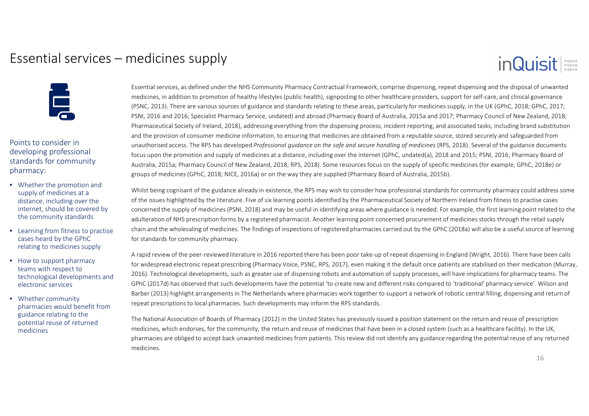### Essential services – medicines supply

### inQuisit



Points to consider in developing professional standards for community pharmacy:

- Whether the promotion and supply of medicines at a distance, including over the internet, should be covered by the community standards
- Learning from fitness to practise cases heard by the GPhC relating to medicines supply
- How to support pharmacy teams with respect to technological developments and electronic services
- Whether community pharmacies would benefit from guidance relating to the potential reuse of returned medicines

Essential services, as defined under the NHS Community Pharmacy Contractual Framework, comprise dispensing, repeat dispensing and the disposal of unwantedmedicines, in addition to promotion of healthy lifestyles (public health), signposting to other healthcare providers, support for self-care, and clinical governance (PSNC, 2013). There are various sources of guidance and standards relating to these areas, particularly for medicines supply, in the UK (GPhC, 2018; GPhC, 2017; PSNI, 2016 and 2016; Specialist Pharmacy Service, undated) and abroad (Pharmacy Board of Australia, 2015a and 2017; Pharmacy Council of New Zealand, 2018; Pharmaceutical Society of Ireland, 2018), addressing everything from the dispensing process, incident reporting, and associated tasks, including brand substitution and the provision of consumer medicine information, to ensuring that medicines are obtained from a reputable source, stored securely and safeguarded from unauthorised access. The RPS has developed *Professional guidance on the safe and secure handling of medicines* (RPS, 2018). Several of the guidance documents focus upon the promotion and supply of medicines at a distance, including over the internet (GPhC, undated(a), 2018 and 2015; PSNI, 2016; Pharmacy Board of Australia, 2015a; Pharmacy Council of New Zealand, 2018; RPS, 2018). Some resources focus on the supply of specific medicines (for example, GPhC, 2018e) or groups of medicines (GPhC, 2018; NICE, 2016a) or on the way they are supplied (Pharmacy Board of Australia, 2015b).

Whilst being cognisant of the guidance already in existence, the RPS may wish to consider how professional standards for community pharmacy could address some of the issues highlighted by the literature. Five of six learning points identified by the Pharmaceutical Society of Northern Ireland from fitness to practise cases concerned the supply of medicines (PSNI, 2018) and may be useful in identifying areas where guidance is needed. For example, the first learning point related to the adulteration of NHS prescription forms by a registered pharmacist. Another learning point concerned procurement of medicines stocks through the retail supply chain and the wholesaling of medicines. The findings of inspections of registered pharmacies carried out by the GPhC (2018a) will also be a useful source of learning for standards for community pharmacy.

A rapid review of the peer-reviewed literature in 2016 reported there has been poor take-up of repeat dispensing in England (Wright, 2016). There have been calls for widespread electronic repeat prescribing (Pharmacy Voice, PSNC, RPS, 2017), even making it the default once patients are stabilised on their medication (Murray, 2016). Technological developments, such as greater use of dispensing robots and automation of supply processes, will have implications for pharmacy teams. The GPhC (2017d) has observed that such developments have the potential 'to create new and different risks compared to 'traditional' pharmacy service'. Wilson and Barber (2013) highlight arrangements in The Netherlands where pharmacies work together to support a network of robotic central filling, dispensing and return of repeat prescriptions to local pharmacies. Such developments may inform the RPS standards.

The National Association of Boards of Pharmacy (2012) in the United States has previously issued a position statement on the return and reuse of prescription medicines, which endorses, for the community, the return and reuse of medicines that have been in a closed system (such as a healthcare facility). In the UK, pharmacies are obliged to accept back unwanted medicines from patients. This review did not identify any guidance regarding the potential reuse of any returned medicines.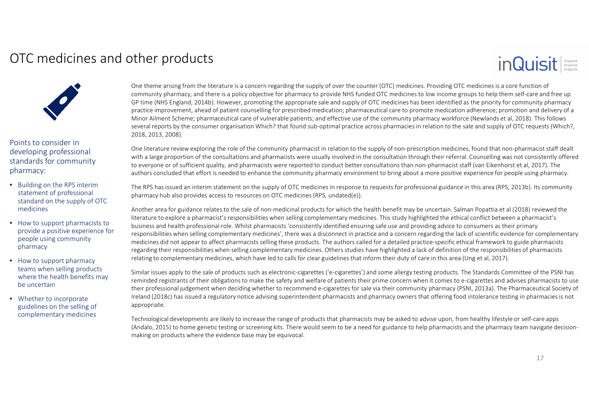### OTC medicines and other products

### inQuisit



Points to consider in developing professional standards for community pharmacy:

- Building on the RPS interim statement of professional standard on the supply of OTC medicines
- How to support pharmacists to provide a positive experience for people using community pharmacy
- How to support pharmacy teams when selling products where the health benefits may be uncertain
- Whether to incorporate guidelines on the selling of complementary medicines

One theme arising from the literature is a concern regarding the supply of over the counter (OTC) medicines. Providing OTC medicines is a core function of community pharmacy, and there is a policy objective for pharmacy to provide NHS funded OTC medicines to low income groups to help them self-care and free up GP time (NHS England, 2014b). However, promoting the appropriate sale and supply of OTC medicines has been identified as the priority for community pharmacy practice improvement, ahead of patient counselling for prescribed medication; pharmaceutical care to promote medication adherence; promotion and delivery of a Minor Ailment Scheme; pharmaceutical care of vulnerable patients; and effective use of the community pharmacy workforce (Newlands et al, 2018). This follows several reports by the consumer organisation Which? that found sub-optimal practice across pharmacies in relation to the sale and supply of OTC requests (Which?, 2018, 2013, 2008).

One literature review exploring the role of the community pharmacist in relation to the supply of non-prescription medicines, found that non-pharmacist staff dealt with a large proportion of the consultations and pharmacists were usually involved in the consultation through their referral. Counselling was not consistently offered to everyone or of sufficient quality, and pharmacists were reported to conduct better consultations than non-pharmacist staff (van Eikenhorst et al, 2017). The authors concluded that effort is needed to enhance the communi

The RPS has issued an interim statement on the supply of OTC medicines in response to requests for professional guidance in this area (RPS, 2013b). Its community pharmacy hub also provides access to resources on OTC medicines (RPS, undated(e)).

Another area for guidance relates to the sale of non-medicinal products for which the health benefit may be uncertain. Salman Popattia et al (2018) reviewed the literature to explore a pharmacist's responsibilities when selling complementary medicines. This study highlighted the ethical conflict between a pharmacist's business and health professional role. Whilst pharmacists 'consistently identified ensuring safe use and providing advice to consumers as their primary responsibilities when selling complementary medicines', there was a disconnect in practice and a concern regarding the lack of scientific evidence for complementary medicines did not appear to affect pharmacists selling these products. The authors called for a detailed practice-specific ethical framework to guide pharmacists regarding their responsibilities when selling complementary medicines. Others studies have highlighted a lack of definition of the responsibilities of pharmacists relating to complementary medicines, which have led to calls for clear guidelines that inform their duty of care in this area (Ung et al, 2017).

Similar issues apply to the sale of products such as electronic-cigarettes ('e-cigarettes') and some allergy testing products. The Standards Committee of the PSNI has reminded registrants of their obligations to make the safety and welfare of patients their prime concern when it comes to e-cigarettes and advises pharmacists to use their professional judgement when deciding whether to recommend e-cigarettes for sale via their community pharmacy (PSNI, 2013a). The Pharmaceutical Society of Ireland (2018c) has issued a regulatory notice advising superintendent pharmacists and pharmacy owners that offering food intolerance testing in pharmacies is not appropriate.

Technological developments are likely to increase the range of products that pharmacists may be asked to advise upon, from healthy lifestyle or self-care apps (Andalo, 2015) to home genetic testing or screening kits. There would seem to be a need for guidance to help pharmacists and the pharmacy team navigate decisionmaking on products where the evidence base may be equivocal.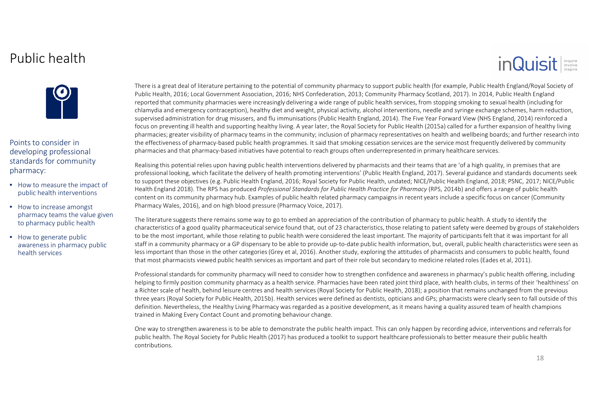### Public health

# inQuisit



Points to consider in developing professional standards for community pharmacy:

- How to measure the impact of public health interventions
- How to increase amongst pharmacy teams the value given to pharmacy public health

• How to generate public awareness in pharmacy public health services

There is a great deal of literature pertaining to the potential of community pharmacy to support public health (for example, Public Health England/Royal Society of Public Health, 2016; Local Government Association, 2016; NHS Confederation, 2013; Community Pharmacy Scotland, 2017). In 2014, Public Health England reported that community pharmacies were increasingly delivering a wide range of public health services, from stopping smoking to sexual health (including for chlamydia and emergency contraception), healthy diet and weight, physical activity, alcohol interventions, needle and syringe exchange schemes, harm reduction, supervised administration for drug misusers, and flu immunisations (Public Health England, 2014). The Five Year Forward View (NHS England, 2014) reinforced a focus on preventing ill health and supporting healthy living. A year later, the Royal Society for Public Health (2015a) called for a further expansion of healthy living pharmacies; greater visibility of pharmacy teams in the community; inclusion of pharmacy representatives on health and wellbeing boards; and further research into the effectiveness of pharmacy-based public health programmes. It said that smoking cessation services are the service most frequently delivered by community pharmacies and that pharmacy-based initiatives have potential to reach groups often underrepresented in primary healthcare services.

Realising this potential relies upon having public health interventions delivered by pharmacists and their teams that are 'of a high quality, in premises that are professional looking, which facilitate the delivery of health promoting interventions' (Public Health England, 2017). Several guidance and standards documents seek to support these objectives (e.g. Public Health England, 2016; Royal Society for Public Health, undated; NICE/Public Health England, 2018; PSNC, 2017; NICE/Public Health England 2018). The RPS has produced *Professional Standards for Public Health Practice for Pharmacy* (RPS, 2014b) and offers a range of public health content on its community pharmacy hub. Examples of public health related pharmacy campaigns in recent years include a specific focus on cancer (CommunityPharmacy Wales, 2016), and on high blood pressure (Pharmacy Voice, 2017).

The literature suggests there remains some way to go to embed an appreciation of the contribution of pharmacy to public health. A study to identify the characteristics of a good quality pharmaceutical service found that, out of 23 characteristics, those relating to patient safety were deemed by groups of stakeholders to be the most important, while those relating to public health were considered the least important. The majority of participants felt that it was important for all staff in a community pharmacy or a GP dispensary to be able to provide up-to-date public health information, but, overall, public health characteristics were seen as less important than those in the other categories (Grey et al, 2016). Another study, exploring the attitudes of pharmacists and consumers to public health, found that most pharmacists viewed public health services as important and part of their role but secondary to medicine related roles (Eades et al, 2011).

Professional standards for community pharmacy will need to consider how to strengthen confidence and awareness in pharmacy's public health offering, including helping to firmly position community pharmacy as a health service. Pharmacies have been rated joint third place, with health clubs, in terms of their 'healthiness' on a Richter scale of health, behind leisure centres and health services (Royal Society for Public Health, 2018); a position that remains unchanged from the previous three years (Royal Society for Public Health, 2015b). Health services were defined as dentists, opticians and GPs; pharmacists were clearly seen to fall outside of this definition. Nevertheless, the Healthy Living Pharmacy was regarded as a positive development, as it means having a quality assured team of health champions trained in Making Every Contact Count and promoting behaviour change.

One way to strengthen awareness is to be able to demonstrate the public health impact. This can only happen by recording advice, interventions and referrals for public health. The Royal Society for Public Health (2017) has produced a toolkit to support healthcare professionals to better measure their public health contributions.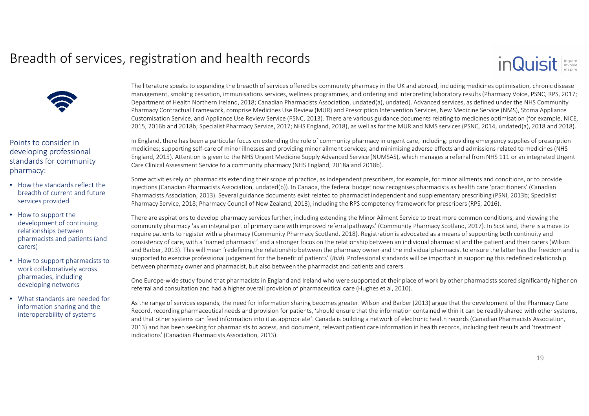### Breadth of services, registration and health records



Points to consider in developing professional standards for community pharmacy:

- How the standards reflect the breadth of current and future services provided
- How to support the development of continuing relationships between pharmacists and patients (and carers)
- How to support pharmacists to work collaboratively across pharmacies, including developing networks
- What standards are needed for information sharing and the interoperability of systems

The literature speaks to expanding the breadth of services offered by community pharmacy in the UK and abroad, including medicines optimisation, chronic disease management, smoking cessation, immunisations services, wellness programmes, and ordering and interpreting laboratory results (Pharmacy Voice, PSNC, RPS, 2017; Department of Health Northern Ireland, 2018; Canadian Pharmacists Association, undated(a), undated). Advanced services, as defined under the NHS Community Pharmacy Contractual Framework, comprise Medicines Use Review (MUR) and Prescription Intervention Services, New Medicine Service (NMS), Stoma Appliance Customisation Service, and Appliance Use Review Service (PSNC, 2013). There are various guidance documents relating to medicines optimisation (for example, NICE, 2015, 2016b and 2018b; Specialist Pharmacy Service, 2017; NHS England, 2018), as well as for the MUR and NMS services (PSNC, 2014, undated(a), 2018 and 2018).

In England, there has been a particular focus on extending the role of community pharmacy in urgent care, including: providing emergency supplies of prescription medicines; supporting self-care of minor illnesses and providing minor ailment services; and minimising adverse effects and admissions related to medicines (NHS England, 2015). Attention is given to the NHS Urgent Medicine Supply Advanced Service (NUMSAS), which manages a referral from NHS 111 or an integrated Urgent Care Clinical Assessment Service to a community pharmacy (NHS England, 2018a and 2018b).

Some activities rely on pharmacists extending their scope of practice, as independent prescribers, for example, for minor ailments and conditions, or to provide injections (Canadian Pharmacists Association, undated(b)). In Canada, the federal budget now recognises pharmacists as health care 'practitioners' (Canadian Pharmacists Association, 2013). Several guidance documents exist related to pharmacist independent and supplementary prescribing (PSNI, 2013b; Specialist Pharmacy Service, 2018; Pharmacy Council of New Zealand, 2013), including the RPS competency framework for prescribers (RPS, 2016).

There are aspirations to develop pharmacy services further, including extending the Minor Ailment Service to treat more common conditions, and viewing the community pharmacy 'as an integral part of primary care with improved referral pathways' (Community Pharmacy Scotland, 2017). In Scotland, there is a move to require patients to register with a pharmacy (Community Pharmacy Scotland, 2018). Registration is advocated as a means of supporting both continuity and consistency of care, with a 'named pharmacist' and a stronger focus on the relationship between an individual pharmacist and the patient and their carers (Wilson and Barber, 2013). This will mean 'redefining the relationship between the pharmacy owner and the individual pharmacist to ensure the latter has the freedom and is supported to exercise professional judgement for the benefit of patients' (*Ibid*). Professional standards will be important in supporting this redefined relationship between pharmacy owner and pharmacist, but also between the pharmacist and patients and carers.

One Europe-wide study found that pharmacists in England and Ireland who were supported at their place of work by other pharmacists scored significantly higher on referral and consultation and had a higher overall provision of pharmaceutical care (Hughes et al, 2010).

As the range of services expands, the need for information sharing becomes greater. Wilson and Barber (2013) argue that the development of the Pharmacy Care Record, recording pharmaceutical needs and provision for patients, 'should ensure that the information contained within it can be readily shared with other systems, and that other systems can feed information into it as appropriate'. Canada is building a network of electronic health records (Canadian Pharmacists Association, 2013) and has been seeking for pharmacists to access, and document, relevant patient care information in health records, including test results and 'treatment indications' (Canadian Pharmacists Association, 2013).

inQuisit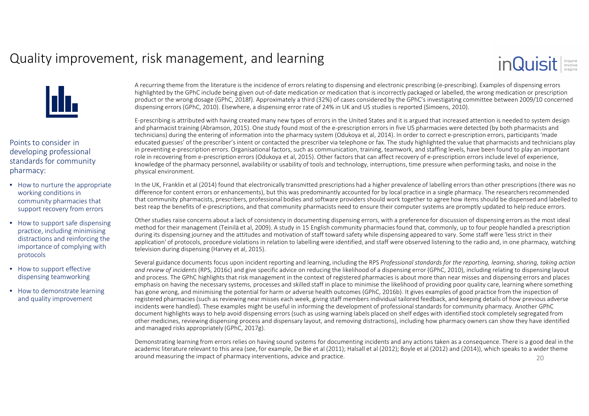### Quality improvement, risk management, and learning





Points to consider in developing professional standards for community pharmacy:

- How to nurture the appropriate working conditions in community pharmacies that support recovery from errors
- How to support safe dispensing practice, including minimising distractions and reinforcing the importance of complying with protocols
- How to support effective dispensing teamworking
- How to demonstrate learning and quality improvement

A recurring theme from the literature is the incidence of errors relating to dispensing and electronic prescribing (e-prescribing). Examples of dispensing errors highlighted by the GPhC include being given out-of-date medication or medication that is incorrectly packaged or labelled, the wrong medication or prescription product or the wrong dosage (GPhC, 2018f). Approximately a third (32%) of cases considered by the GPhC's investigating committee between 2009/10 concerneddispensing errors (GPhC, 2010). Elsewhere, a dispensing error rate of 24% in UK and US studies is reported (Simoens, 2010).

E-prescribing is attributed with having created many new types of errors in the United States and it is argued that increased attention is needed to system design and pharmacist training (Abramson, 2015). One study found most of the e-prescription errors in five US pharmacies were detected (by both pharmacists and technicians) during the entering of information into the pharmacy system (Odukoya et al, 2014). In order to correct e-prescription errors, participants 'made educated guesses' of the prescriber's intent or contacted the prescriber via telephone or fax. The study highlighted the value that pharmacists and technicians play in preventing e-prescription errors. Organisational factors, such as communication, training, teamwork, and staffing levels, have been found to play an important role in recovering from e-prescription errors (Odukoya et al, 2015). Other factors that can affect recovery of e-prescription errors include level of experience, knowledge of the pharmacy personnel, availability or usability of tools and technology, interruptions, time pressure when performing tasks, and noise in the physical environment.

In the UK, Franklin et al (2014) found that electronically transmitted prescriptions had a higher prevalence of labelling errors than other prescriptions (there was no difference for content errors or enhancements), but this was predominantly accounted for by local practice in a single pharmacy. The researchers recommended that community pharmacists, prescribers, professional bodies and software providers should work together to agree how items should be dispensed and labelled to best reap the benefits of e-prescriptions, and that community pharmacists need to ensure their computer systems are promptly updated to help reduce errors.

Other studies raise concerns about a lack of consistency in documenting dispensing errors, with a preference for discussion of dispensing errors as the most ideal method for their management (Teinilä et al, 2009). A study in 15 English community pharmacies found that, commonly, up to four people handled a prescription during its dispensing journey and the attitudes and motivation of staff toward safety while dispensing appeared to vary. Some staff were 'less strict in their application' of protocols, procedure violations in relation to labelling were identified, and staff were observed listening to the radio and, in one pharmacy, watching television during dispensing (Harvey et al, 2015).

Several guidance documents focus upon incident reporting and learning, including the RPS *Professional standards for the reporting, learning, sharing, taking action and review of incidents* (RPS, 2016c) and give specific advice on reducing the likelihood of a dispensing error (GPhC, 2010), including relating to dispensing layout and process. The GPhC highlights that risk management in the context of registered pharmacies is about more than near misses and dispensing errors and places emphasis on having the necessary systems, processes and skilled staff in place to minimise the likelihood of providing poor quality care, learning where something has gone wrong, and minimising the potential for harm or adverse health outcomes (GPhC, 2016b). It gives examples of good practice from the inspection of registered pharmacies (such as reviewing near misses each week, giving staff members individual tailored feedback, and keeping details of how previous adverse incidents were handled). These examples might be useful in informing the development of professional standards for community pharmacy. Another GPhC document highlights ways to help avoid dispensing errors (such as using warning labels placed on shelf edges with identified stock completely segregated from other medicines, reviewing dispensing process and dispensary layout, and removing distractions), including how pharmacy owners can show they have identified and managed risks appropriately (GPhC, 2017g).

Demonstrating learning from errors relies on having sound systems for documenting incidents and any actions taken as a consequence. There is a good deal in the academic literature relevant to this area (see, for example, De Bie et al (2011); Halsall et al (2012); Boyle et al (2012) and (2014)), which speaks to a wider theme around measuring the impact of pharmacy interventions, advice and practice.  $20$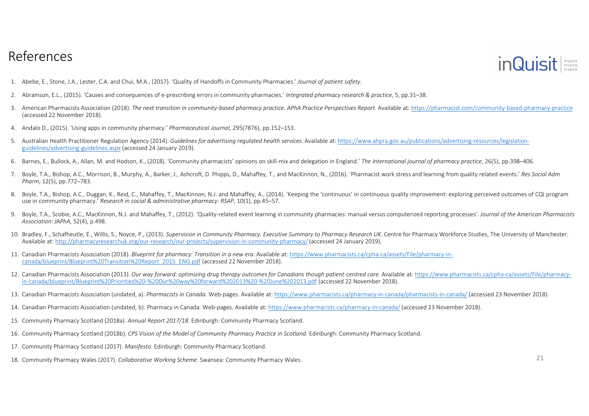

- 
- 1. Abebe, E., Stone, J.A., Lester, C.A. and Chui, M.A., (2017). 'Quality of Handoffs in Community Pharmacies.' Journal of patient safety.<br>2. Abramson, E.L., (2015). 'Causes and consequences of e-prescribing errors in commu
- 3. American Pharmacists Association (2018). The next transition in community-based pharmacy practice. APhA Practice Perspectives Report. Available at: https://pharmacist.com/community-based-pharmacy-practice (accessed 22 November 2018).
- 4. Andalo D., (2015). 'Using apps in community pharmacy.' *Pharmaceutical Journal*, 295(7876), pp.152–153.
- 5. Australian Health Practitioner Regulation Agency (2014). *Guidelines for advertising regulated health services.* Available at: https://www.ahpra.gov.au/publications/advertising-resources/legislationguidelines/advertising-guidelines.aspx (accessed 24 January 2019).
- 6. Barnes, E., Bullock, A., Allan, M. and Hodson, K., (2018). 'Community pharmacists' opinions on skill-mix and delegation in England.' *The International journal of pharmacy practice*, 26(5), pp.398–406.
- 7. Boyle, T.A., Bishop, A.C., Morrison, B., Murphy, A., Barker, J., Ashcroft, D. Phipps, D., Mahaffey, T., and MacKinnon, N., (2016). 'Pharmacist work stress and learning from quality related events.' *Res Social AdmPharm*, 12(5), pp.772–783.
- 8. Boyle, T.A., Bishop, A.C., Duggan, K., Reid, C., Mahaffey, T., MacKinnon, N.J. and Mahaffey, A., (2014). 'Keeping the 'continuous' in continuous quality improvement: exploring perceived outcomes of CQI program use in community pharmacy.' *Research in social & administrative pharmacy: RSAP*, 10(1), pp.45–57.
- 9. Boyle, T.A., Scobie, A.C., MacKinnon, N.J. and Mahaffey, T., (2012). 'Quality-related event learning in community pharmacies: manual versus computerized reporting processes'. *Journal of the American Pharmacists Association: JAPhA*, 52(4), p.498.
- 10. Bradley, F., Schafheutle, E., Willis, S., Noyce, P., (2013). *Supervision in Community Pharmacy. Executive Summary to Pharmacy Research UK*. Centre for Pharmacy Workforce Studies, The University of Manchester. Available at: http://pharmacyresearchuk.org/our-research/our-projects/supervision-in-community-pharmacy/(accessed 24 January 2019).
- 11. Canadian Pharmacists Association (2018). *Blueprint for pharmacy: Transition in a new era.* Available at: https://www.pharmacists.ca/cpha-ca/assets/File/pharmacy-incanada/blueprint/Blueprint%20Transition%20Report\_2015\_ENG.pdf (accessed 22 November 2018).
- 12. Canadian Pharmacists Association (2013). *Our way forward: optimizing drug therapy outcomes for Canadians though patient-centred care.* Available at: https://www.pharmacists.ca/cpha-ca/assets/File/pharmacyin-canada/blueprint/Blueprint%20Priorities%20-%20Our%20way%20forward%202013%20-%20June%202013.pdf (accessed 22 November 2018).
- 13. Canadian Pharmacists Association (undated, a). *Pharmacists in Canada.* Web-pages. Available at: https://www.pharmacists.ca/pharmacy-in-canada/pharmacists-in-canada/ (accessed 23 November 2018).
- 14. Canadian Pharmacists Association (undated, b). Pharmacy in Canada. Web-pages. Available at: https://www.pharmacists.ca/pharmacy-in-canada/ (accessed 23 November 2018).
- 15. Community Pharmacy Scotland (2018a). *Annual Report 2017/18*. Edinburgh: Community Pharmacy Scotland.
- 16. Community Pharmacy Scotland (2018b). *CPS Vision of the Model of Community Pharmacy Practice in Scotland*. Edinburgh: Community Pharmacy Scotland.
- 17. Community Pharmacy Scotland (2017). *Manifesto*. Edinburgh: Community Pharmacy Scotland.
- 18. Community Pharmacy Wales (2017). *Collaborative Working Scheme.* Swansea: Community Pharmacy Wales. <sup>21</sup>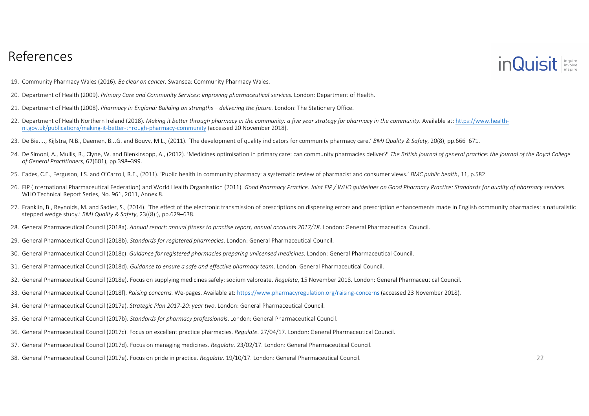

- 19. Community Pharmacy Wales (2016). *Be clear on cancer.* Swansea: Community Pharmacy Wales.
- 20. Department of Health (2009). *Primary Care and Community Services: improving pharmaceutical services.* London: Department of Health.
- 21. Department of Health (2008). *Pharmacy in England: Building on strengths – delivering the future.* London: The Stationery Office.
- 22. Department of Health Northern Ireland (2018). *Making it better through pharmacy in the community: a five year strategy for pharmacy in the community*. Available at: https://www.healthni.gov.uk/publications/making-it-better-through-pharmacy-community (accessed 20 November 2018).
- 23. De Bie, J., Kijlstra, N.B., Daemen, B.J.G. and Bouvy, M.L., (2011). 'The development of quality indicators for community pharmacy care.' *BMJ Quality & Safety*, 20(8), pp.666–671.
- 24. De Simoni, A., Mullis, R., Clyne, W. and Blenkinsopp, A., (2012). 'Medicines optimisation in primary care: can community pharmacies deliver?' The British journal of general practice: the journal of the Royal College *of General Practitioners*, 62(601), pp.398–399.
- 25. Eades, C.E., Ferguson, J.S. and O'Carroll, R.E., (2011). 'Public health in community pharmacy: a systematic review of pharmacist and consumer views.' *BMC public health*, 11, p.582.
- 26. FIP (International Pharmaceutical Federation) and World Health Organisation (2011). Good Pharmacy Practice. Joint FIP / WHO quidelines on Good Pharmacy Practice: Standards for quality of pharmacy services. WHO Technical Report Series, No. 961, 2011, Annex 8.
- 27. Franklin, B., Reynolds, M. and Sadler, S., (2014). 'The effect of the electronic transmission of prescriptions on dispensing errors and prescription enhancements made in English community pharmacies: a naturalistic stepped wedge study.' *BMJ Quality & Safety*, 23((8):), pp.629–638.
- 28. General Pharmaceutical Council (2018a). *Annual report: annual fitness to practise report, annual accounts 2017/18*. London: General Pharmaceutical Council.
- 29. General Pharmaceutical Council (2018b). *Standards for registered pharmacies*. London: General Pharmaceutical Council.
- 30. General Pharmaceutical Council (2018c). *Guidance for registered pharmacies preparing unlicensed medicines*. London: General Pharmaceutical Council.
- 31. General Pharmaceutical Council (2018d). *Guidance to ensure a safe and effective pharmacy team*. London: General Pharmaceutical Council.
- 32. General Pharmaceutical Council (2018e). Focus on supplying medicines safely: sodium valproate. *Regulate*, 15 November 2018. London: General Pharmaceutical Council.
- 33. General Pharmaceutical Council (2018f). *Raising concerns.* We-pages. Available at: https://www.pharmacyregulation.org/raising-concerns (accessed 23 November 2018).
- 34. General Pharmaceutical Council (2017a). *Strategic Plan 2017-20: year two*. London: General Pharmaceutical Council.
- 35. General Pharmaceutical Council (2017b). *Standards for pharmacy professionals*. London: General Pharmaceutical Council.
- 36. General Pharmaceutical Council (2017c). Focus on excellent practice pharmacies. *Regulate*. 27/04/17. London: General Pharmaceutical Council.
- 37. General Pharmaceutical Council (2017d). Focus on managing medicines. *Regulate*. 23/02/17. London: General Pharmaceutical Council.
- 38. General Pharmaceutical Council (2017e). Focus on pride in practice. *Regulate*. 19/10/17. London: General Pharmaceutical Council. <sup>22</sup>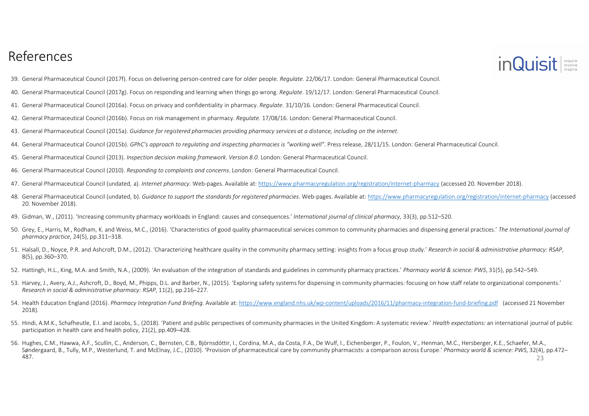

- 39. General Pharmaceutical Council (2017f). Focus on delivering person-centred care for older people. *Regulate*. 22/06/17. London: General Pharmaceutical Council.
- 40. General Pharmaceutical Council (2017g). Focus on responding and learning when things go wrong. *Regulate*. 19/12/17. London: General Pharmaceutical Council.
- 41. General Pharmaceutical Council (2016a). Focus on privacy and confidentiality in pharmacy. *Regulate*. 31/10/16. London: General Pharmaceutical Council.
- 42. General Pharmaceutical Council (2016b). Focus on risk management in pharmacy. *Regulate*. 17/08/16. London: General Pharmaceutical Council.
- 
- 43. General Pharmaceutical Council (2015a). Guidance for registered pharmacies providing pharmacy services at a distance, including on the internet.<br>44. General Pharmaceutical Council (2015b). GPhC's approach to regulating
- 45. General Pharmaceutical Council (2013). *Inspection decision making framework. Version 8.0*. London: General Pharmaceutical Council.
- 46. General Pharmaceutical Council (2010). *Responding to complaints and concerns*. London: General Pharmaceutical Council.
- 47. General Pharmaceutical Council (undated, a). *Internet pharmacy*. Web-pages. Available at: https://www.pharmacyregulation.org/registration/internet-pharmacy (accessed 20. November 2018).
- 48. General Pharmaceutical Council (undated, b). *Guidance to support the standards for registered pharmacies*. Web-pages. Available at: https://www.pharmacyregulation.org/registration/internet-pharmacy (accessed 20. November 2018).
- 49. Gidman, W., (2011). 'Increasing community pharmacy workloads in England: causes and consequences.' *International journal of clinical pharmacy*, 33(3), pp.512–520.
- 50. Grey, E., Harris, M., Rodham, K. and Weiss, M.C., (2016). 'Characteristics of good quality pharmaceutical services common to community pharmacies and dispensing general practices.' *The International journal of pharmacy practice*, 24(5), pp.311–318.
- 51. Halsall, D., Noyce, P.R. and Ashcroft, D.M., (2012). 'Characterizing healthcare quality in the community pharmacy setting: insights from a focus group study.' *Research in social & administrative pharmacy: RSAP*, 8(5), pp.360–370.
- 52. Hattingh, H.L., King, M.A. and Smith, N.A., (2009). 'An evaluation of the integration of standards and guidelines in community pharmacy practices.' *Pharmacy world & science: PWS*, 31(5), pp.542–549.
- 53. Harvey, J., Avery, A.J., Ashcroft, D., Boyd, M., Phipps, D.L. and Barber, N., (2015). 'Exploring safety systems for dispensing in community pharmacies: focusing on how staff relate to organizational components.' *Research in social & administrative pharmacy: RSAP*, 11(2), pp.216–227.
- 54. Health Education England (2016). *Pharmacy Integration Fund Briefing.* Available at: https://www.england.nhs.uk/wp-content/uploads/2016/11/pharmacy-integration-fund-briefing.pdf (accessed 21 November 2018).
- 55. Hindi, A.M.K., Schafheutle, E.I. and Jacobs, S., (2018). 'Patient and public perspectives of community pharmacies in the United Kingdom: A systematic review.' Health expectations: an international journal of public participation in health care and health policy, 21(2), pp.409–428.
- 56. Hughes, C.M., Hawwa, A.F., Scullin, C., Anderson, C., Bernsten, C.B., Björnsdóttir, I., Cordina, M.A., da Costa, F.A., De Wulf, I., Eichenberger, P., Foulon, V., Henman, M.C., Hersberger, K.E., Schaefer, M.A., Søndergaard, B., Tully, M.P., Westerlund, T. and McElnay, J.C., (2010). 'Provision of pharmaceutical care by community pharmacists: a comparison across Europe.' *Pharmacy world & science: PWS*, 32(4), pp.472–487. 23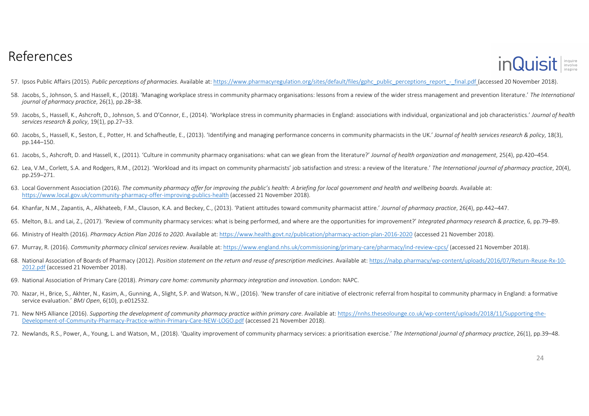

- 57. Ipsos Public Affairs (2015). *Public perceptions of pharmacies*. Available at: https://www.pharmacyregulation.org/sites/default/files/gphc\_public\_perceptions\_report\_-\_final.pdf (accessed 20 November 2018).
- 58. Jacobs, S., Johnson, S. and Hassell, K., (2018). 'Managing workplace stress in community pharmacy organisations: lessons from a review of the wider stress management and prevention literature.' *The International journal of pharmacy practice*, 26(1), pp.28–38.
- 59. Jacobs, S., Hassell, K., Ashcroft, D., Johnson, S. and O'Connor, E. (2014). 'Workplace stress in community pharmacies in England: associations with individual, organizational and job characteristics.' Journal of health *services research & policy*, 19(1), pp.27–33.
- 60. Jacobs, S., Hassell, K., Seston, E., Potter, H. and Schafheutle, E., (2013). 'Identifying and managing performance concerns in community pharmacists in the UK.' *Journal of health services research & policy*, 18(3), pp.144–150.
- 61. Jacobs, S., Ashcroft, D. and Hassell, K., (2011). 'Culture in community pharmacy organisations: what can we glean from the literature?' *Journal of health organization and management*, 25(4), pp.420–454.
- 62. Lea, V.M., Corlett, S.A. and Rodgers, R.M., (2012). 'Workload and its impact on community pharmacists' job satisfaction and stress: a review of the literature.' The International journal of pharmacy practice, 20(4), pp.259–271.
- 63. Local Government Association (2016). *The community pharmacy offer for improving the public's health: A briefing for local government and health and wellbeing boards*. Available at: https://www.local.gov.uk/community-pharmacy-offer-improving-publics-health (accessed 21 November 2018).
- 64. Khanfar, N.M., Zapantis, A., Alkhateeb, F.M., Clauson, K.A. and Beckey, C., (2013). 'Patient attitudes toward community pharmacist attire.' Journal of pharmacy practice, 26(4), pp.442–447.
- 65. Melton, B.L. and Lai, Z., (2017). 'Review of community pharmacy services: what is being performed, and where are the opportunities for improvement?' *Integrated pharmacy research & practice*, 6, pp.79–89.
- 66. Ministry of Health (2016). *Pharmacy Action Plan 2016 to 2020*. Available at: https://www.health.govt.nz/publication/pharmacy-action-plan-2016-2020 (accessed 21 November 2018).
- 67. Murray, R. (2016). *Community pharmacy clinical services review*. Available at: https://www.england.nhs.uk/commissioning/primary-care/pharmacy/ind-review-cpcs/ (accessed 21 November 2018).
- 68. National Association of Boards of Pharmacy (2012). *Position statement on the return and reuse of prescription medicines*. Available at: https://nabp.pharmacy/wp-content/uploads/2016/07/Return-Reuse-Rx-10- <u>2012.pdf</u> (accessed 21 November 2018).
- 69. National Association of Primary Care (2018). *Primary care home: community pharmacy integration and innovation*. London: NAPC.
- 70. Nazar, H., Brice, S., Akhter, N., Kasim, A., Gunning, A., Slight, S.P. and Watson, N.W., (2016). 'New transfer of care initiative of electronic referral from hospital to community pharmacy in England: a formative service evaluation.' *BMJ Open*, 6(10), p.e012532.
- 71. New NHS Alliance (2016). *Supporting the development of community pharmacy practice within primary care*. Available at: https://nnhs.theseolounge.co.uk/wp-content/uploads/2018/11/Supporting-the-Development-of-Community-Pharmacy-Practice-within-Primary-Care-NEW-LOGO.pdf (accessed 21 November 2018).
- 72. Newlands, R.S., Power, A., Young, L. and Watson, M., (2018). 'Quality improvement of community pharmacy services: a prioritisation exercise.' *The International journal of pharmacy practice*, 26(1), pp.39–48.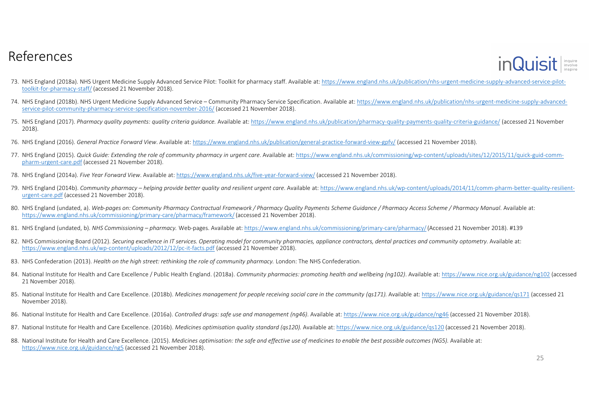

- 73. NHS England (2018a). NHS Urgent Medicine Supply Advanced Service Pilot: Toolkit for pharmacy staff. Available at: https://www.england.nhs.uk/publication/nhs-urgent-medicine-supply-advanced-service-pilottoolkit-for-pharmacy-staff/ (accessed 21 November 2018).
- 74. NHS England (2018b). NHS Urgent Medicine Supply Advanced Service Community Pharmacy Service Specification. Available at: https://www.england.nhs.uk/publication/nhs-urgent-medicine-supply-advancedservice-pilot-community-pharmacy-service-specification-november-2016/ (accessed 21 November 2018).
- 75. NHS England (2017). *Pharmacy quality payments: quality criteria guidance.* Available at: https://www.england.nhs.uk/publication/pharmacy-quality-payments-quality-criteria-guidance/ (accessed 21 November 2018).
- 76. NHS England (2016). *General Practice Forward View*. Available at: https://www.england.nhs.uk/publication/general-practice-forward-view-gpfv/ (accessed 21 November 2018).
- 77. NHS England (2015). *Quick Guide: Extending the role of community pharmacy in urgent care*. Available at: https://www.england.nhs.uk/commissioning/wp-content/uploads/sites/12/2015/11/quick-guid-commpharm-urgent-care.pdf (accessed 21 November 2018).
- 78. NHS England (2014a). *Five Year Forward View*. Available at: https://www.england.nhs.uk/five-year-forward-view/ (accessed 21 November 2018).
- 79. NHS England (2014b). Community pharmacy helping provide better quality and resilient urgent care. Available at: https://www.england.nhs.uk/wp-content/uploads/2014/11/comm-pharm-better-quality-resilient-<u>urgent-care.pdf</u> (accessed 21 November 2018).
- 80. NHS England (undated, a). Web-pages on: Community Pharmacy Contractual Framework / Pharmacy Quality Payments Scheme Guidance / Pharmacy Access Scheme / Pharmacy Manual. Available at:<br>https://www.orgland.phs.uk/commissi https://www.england.nhs.uk/commissioning/primary-care/pharmacy/framework/(accessed 21 November 2018).
- 81. NHS England (undated, b). NHS Commissioning *pharmacy*. Web-pages. Available at: https://www.england.nhs.uk/commissioning/primary-care/pharmacy/(Accessed 21 November 2018). #139
- 82. NHS Commissioning Board (2012). *Securing excellence in IT services. Operating model for community pharmacies, appliance contractors, dental practices and community optometry. Available at:* https://www.england.nhs.uk/wp-content/uploads/2012/12/pc-it-facts.pdf (accessed 21 November 2018).
- 83. NHS Confederation (2013). *Health on the high street: rethinking the role of community pharmacy.* London: The NHS Confederation.
- 84. National Institute for Health and Care Excellence / Public Health England. (2018a). *Community pharmacies: promoting health and wellbeing (ng102)*. Available at: <u>https://www.nice.org.uk/guidance/ng102</u> (accessed 21 November 2018).
- 85. National Institute for Health and Care Excellence. (2018b). *Medicines management for people receiving social care in the community (qs171).* Available at: <u>https://www.nice.org.uk/guidance/qs171</u> (accessed 21 November 2018).
- 86. National Institute for Health and Care Excellence. (2016a). *Controlled drugs: safe use and management (ng46)*. Available at: https://www.nice.org.uk/guidance/ng46 (accessed 21 November 2018).
- 87. National Institute for Health and Care Excellence. (2016b). *Medicines optimisation quality standard (qs120).* Available at: <u>https://www.nice.org.uk/guidance/qs120</u> (accessed 21 November 2018).
- 88. National Institute for Health and Care Excellence. (2015). *Medicines optimisation: the safe and effective use of medicines to enable the best possible outcomes (NG5). Available at:* https://www.nice.org.uk/guidance/ng5 (accessed 21 November 2018).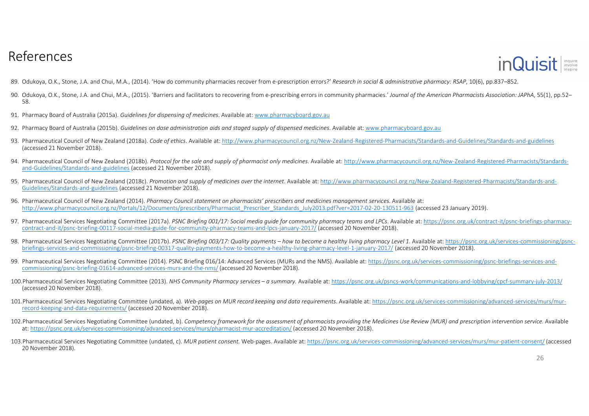

- 89. Odukoya, O.K., Stone, J.A. and Chui, M.A., (2014). 'How do community pharmacies recover from e-prescription errors?' *Research in social & administrative pharmacy: RSAP*, 10(6), pp.837–852.
- 90. Odukoya, O.K., Stone, J.A. and Chui, M.A., (2015). 'Barriers and facilitators to recovering from e-prescribing errors in community pharmacies.' *Journal of the American Pharmacists Association: JAPhA*, 55(1), pp.52– 58.
- 91. Pharmacy Board of Australia (2015a). *Guidelines for dispensing of medicines*. Available at: www.pharmacyboard.gov.au
- 92. Pharmacy Board of Australia (2015b). *Guidelines on dose administration aids and staged supply of dispensed medicines*. Available at: www.pharmacyboard.gov.au
- 93. Pharmaceutical Council of New Zealand (2018a). *Code of ethics*. Available at: http://www.pharmacycouncil.org.nz/New-Zealand-Registered-Pharmacists/Standards-and-Guidelines/Standards-and-guidelines (accessed 21 November 2018).
- 94. Pharmaceutical Council of New Zealand (2018b). *Protocol for the sale and supply of pharmacist only medicines*. Available at: http://www.pharmacycouncil.org.nz/New-Zealand-Registered-Pharmacists/Standardsand-Guidelines/Standards-and-guidelines (accessed 21 November 2018).
- 95. Pharmaceutical Council of New Zealand (2018c). *Promotion and supply of medicines over the internet*. Available at: http://www.pharmacycouncil.org.nz/New-Zealand-Registered-Pharmacists/Standards-and-Guidelines/Standards-and-guidelines (accessed 21 November 2018).
- 96. Pharmaceutical Council of New Zealand (2014). *Pharmacy Council statement on pharmacists' prescribers and medicines management services.* Available at: http://www.pharmacycouncil.org.nz/Portals/12/Documents/prescribers/Pharmacist\_Prescriber\_Standards\_July2013.pdf?ver=2017-02-20-130511-963 (accessed 23 January 2019).
- 97. Pharmaceutical Services Negotiating Committee (2017a). *PSNC Briefing 001/17: Social media guide for community pharmacy teams and LPCs*. Available at: https://psnc.org.uk/contract-it/psnc-briefings-pharmacycontract-and-it/psnc-briefing-00117-social-media-guide-for-community-pharmacy-teams-and-lpcs-january-2017/ (accessed 20 November 2018).
- 98. Pharmaceutical Services Negotiating Committee (2017b), PSNC Briefing 003/17; Quality payments how to become a healthy living pharmacy Level 1. Available at: https://psnc.org.uk/services-commissioning/psncbriefings-services-and-commissioning/psnc-briefing-00317-quality-payments-how-to-become-a-healthy-living-pharmacy-level-1-january-2017/ (accessed 20 November 2018).
- 99. Pharmaceutical Services Negotiating Committee (2014). PSNC Briefing 016/14: Advanced Services (MURs and the NMS). Available at: https://psnc.org.uk/services-commissioning/psnc-briefings-services-andcommissioning/psnc-briefing-01614-advanced-services-murs-and-the-nms/ (accessed 20 November 2018).
- 100.Pharmaceutical Services Negotiating Committee (2013). *NHS Community Pharmacy services – a summary.* Available at: https://psnc.org.uk/psncs-work/communications-and-lobbying/cpcf-summary-july-2013/ (accessed 20 November 2018).
- 101.Pharmaceutical Services Negotiating Committee (undated, a). *Web-pages on MUR record keeping and data requirements*. Available at: https://psnc.org.uk/services-commissioning/advanced-services/murs/murrecord-keeping-and-data-requirements/ (accessed 20 November 2018).
- 102. Pharmaceutical Services Negotiating Committee (undated, b). Competency framework for the assessment of pharmacists providing the Medicines Use Review (MUR) and prescription intervention service. Available at: https://psnc.org.uk/services-commissioning/advanced-services/murs/pharmacist-mur-accreditation/ (accessed 20 November 2018).
- 103.Pharmaceutical Services Negotiating Committee (undated, c). *MUR patient consent.* Web-pages. Available at: https://psnc.org.uk/services-commissioning/advanced-services/murs/mur-patient-consent/ (accessed 20 November 2018).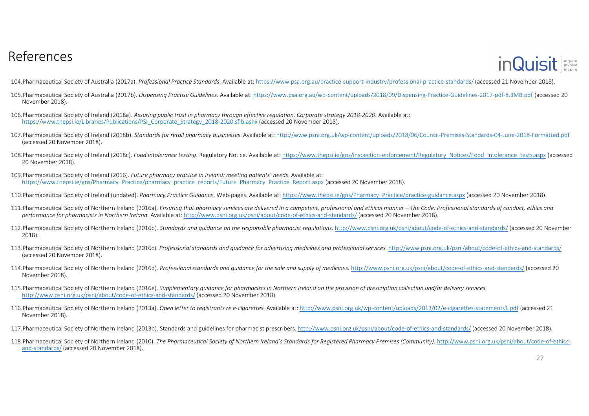

104.Pharmaceutical Society of Australia (2017a). *Professional Practice Standards*. Available at: https://www.psa.org.au/practice-support-industry/professional-practice-standards/ (accessed 21 November 2018).

- 105.Pharmaceutical Society of Australia (2017b). *Dispensing Practise Guidelines*. Available at: https://www.psa.org.au/wp-content/uploads/2018/09/Dispensing-Practice-Guidelines-2017-pdf-8.3MB.pdf (accessed 20 November 2018).
- 106.Pharmaceutical Society of Ireland (2018a). *Assuring public trust in pharmacy through effective regulation. Corporate strategy 2018-2020*. Available at: https://www.thepsi.ie/Libraries/Publications/PSI\_Corporate\_Strategy\_2018-2020.sflb.ashx (accessed 20 November 2018).
- 107.Pharmaceutical Society of Ireland (2018b). *Standards for retail pharmacy businesses*. Available at: http://www.psni.org.uk/wp-content/uploads/2018/06/Council-Premises-Standards-04-June-2018-Formatted.pdf(accessed 20 November 2018).
- 108.Pharmaceutical Society of Ireland (2018c). *Food intolerance testing*. Regulatory Notice. Available at: https://www.thepsi.ie/gns/inspection-enforcement/Regulatory\_Notices/Food\_intolerance\_tests.aspx (accessed 20 November 2018).
- 109.Pharmaceutical Society of Ireland (2016). *Future pharmacy practice in Ireland: meeting patients' needs*. Available at: https://www.thepsi.ie/gns/Pharmacy\_Practice/pharmacy\_practice\_reports/Future\_Pharmacy\_Practice\_Report.aspx (<mark>accessed 20 November 2018</mark>).
- 110.Pharmaceutical Society of Ireland (undated). *Pharmacy Practice Guidance*. Web-pages. Available at: https://www.thepsi.ie/gns/Pharmacy\_Practice/practice-guidance.aspx (accessed 20 November 2018).
- 111.Pharmaceutical Society of Northern Ireland (2016a). Ensuring that pharmacy services are delivered in a competent, professional and ethical manner The Code: Professional standards of conduct, ethics and *performance for pharmacists in Northern Ireland.* Available at: http://www.psni.org.uk/psni/about/code-of-ethics-and-standards/ (accessed 20 November 2018).
- 112.Pharmaceutical Society of Northern Ireland (2016b). *Standards and guidance on the responsible pharmacist regulations.* http://www.psni.org.uk/psni/about/code-of-ethics-and-standards/ (accessed 20 November 2018).
- 113.Pharmaceutical Society of Northern Ireland (2016c). *Professional standards and guidance for advertising medicines and professional services.* http://www.psni.org.uk/psni/about/code-of-ethics-and-standards/(accessed 20 November 2018).
- 114.Pharmaceutical Society of Northern Ireland (2016d). *Professional standards and guidance for the sale and supply of medicines.* <u>http://www.psni.org.uk/psni/about/code-of-ethics-and-standards/</u> (accessed 20 November 2018).
- 115.Pharmaceutical Society of Northern Ireland (2016e). *Supplementary guidance for pharmacists in Northern Ireland on the provision of prescription collection and/or delivery services.*http://www.psni.org.uk/psni/about/code-of-ethics-and-standards/ (accessed 20 November 2018).
- 116.Pharmaceutical Society of Northern Ireland (2013a). *Open letter to registrants re e-cigarettes.* Available at: http://www.psni.org.uk/wp-content/uploads/2013/02/e-cigarettes-statements1.pdf (accessed 21 November 2018).
- 117.Pharmaceutical Society of Northern Ireland (2013b). Standards and guidelines for pharmacist prescribers. <u>http://www.psni.org.uk/psni/about/code-of-ethics-and-standards/</u> (accessed 20 November 2018).
- 118.Pharmaceutical Society of Northern Ireland (2010). *The Pharmaceutical Society of Northern Ireland's Standards for Registered Pharmacy Premises (Community).* http://www.psni.org.uk/psni/about/code-of-ethicsand-standards/ (accessed 20 November 2018).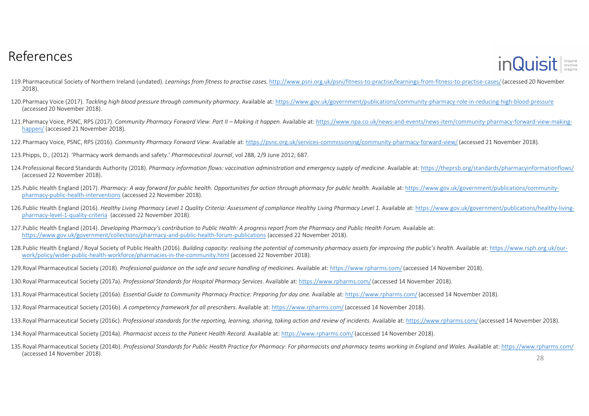

- 119.Pharmaceutical Society of Northern Ireland (undated). *Learnings from fitness to practise cases.* http://www.psni.org.uk/psni/fitness-to-practise/learnings-from-fitness-to-practise-cases/(accessed 20 November 2018).
- 120.Pharmacy Voice (2017). *Tackling high blood pressure through community pharmacy*. Available at: https://www.gov.uk/government/publications/community-pharmacy-role-in-reducing-high-blood-pressure(accessed 20 November 2018).
- 121.Pharmacy Voice, PSNC, RPS (2017). *Community Pharmacy Forward View. Part II – Making it happen.* Available at: https://www.npa.co.uk/news-and-events/news-item/community-pharmacy-forward-view-makinghappen/ (accessed 21 November 2018).
- 122.Pharmacy Voice, PSNC, RPS (2016). *Community Pharmacy Forward View.* Available at: https://psnc.org.uk/services-commissioning/community-pharmacy-forward-view/ (accessed 21 November 2018).
- 123.Phipps, D., (2012). 'Pharmacy work demands and safety.' *Pharmaceutical Journal*, vol 288, 2/9 June 2012; 687.
- 124.Professional Record Standards Authority (2018). *Pharmacy information flows: vaccination administration and emergency supply of medicine*. Available at: https://theprsb.org/standards/pharmacyinformationflows/(accessed 22 November 2018).
- 125.Public Health England (2017). *Pharmacy: A way forward for public health. Opportunities for action through pharmacy for public health.* Available at: https://www.gov.uk/government/publications/communitypharmacy-public-health-interventions (accessed 22 November 2018).
- 126.Public Health England (2016). Healthy Living Pharmacy Level 1 Quality Criteria: Assessment of compliance Healthy Living Pharmacy Level 1. Available at: https://www.gov.uk/government/publications/healthy-living-<br>pharmac pharmacy-level-1-quality-criteria (accessed 22 November 2018).
- 127.Public Health England (2014). *Developing Pharmacy's contribution to Public Health: A progress report from the Pharmacy and Public Health Forum.* Available at: https://www.gov.uk/government/collections/pharmacy-and-public-health-forum-publications (accessed 22 November 2018).
- 128.Public Health England / Royal Society of Public Health (2016). *Building capacity: realising the potential of community pharmacy assets for improving the public's health*. Available at: https://www.rsph.org.uk/ourwork/policy/wider-public-health-workforce/pharmacies-in-the-community.html (accessed 22 November 2018).
- 129.Royal Pharmaceutical Society (2018). *Professional guidance on the safe and secure handling of medicines*. Available at: https://www.rpharms.com/(accessed 14 November 2018).
- 130.Royal Pharmaceutical Society (2017a). *Professional Standards for Hospital Pharmacy Services*. Available at: https://www.rpharms.com/(accessed 14 November 2018).
- 131.Royal Pharmaceutical Society (2016a). *Essential Guide to Community Pharmacy Practice: Preparing for day one.* Available at: https://www.rpharms.com/(accessed 14 November 2018).
- 132.Royal Pharmaceutical Society (2016b). *A competency framework for all prescribers*. Available at: https://www.rpharms.com/(accessed 14 November 2018).
- 133.Royal Pharmaceutical Society (2016c). *Professional standards for the reporting, learning, sharing, taking action and review of incidents*. Available at: https://www.rpharms.com/(accessed 14 November 2018).
- 134.Royal Pharmaceutical Society (2014a). *Pharmacist access to the Patient Health Record*. Available at: https://www.rpharms.com/(accessed 14 November 2018).
- 135.Royal Pharmaceutical Society (2014b). *Professional Standards for Public Health Practice for Pharmacy: For pharmacists and pharmacy teams working in England and Wales.* Available at: https://www.rpharms.com/(accessed 14 November 2018). 28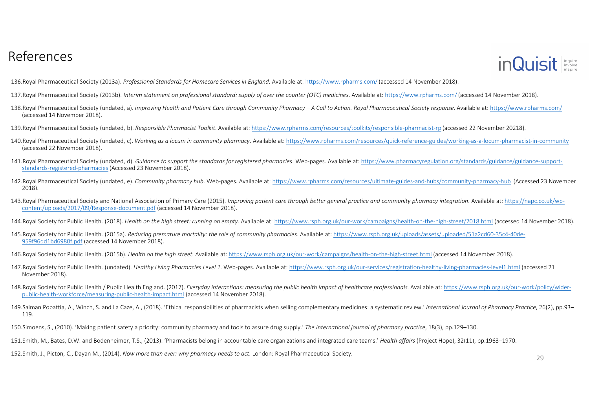

136.Royal Pharmaceutical Society (2013a). *Professional Standards for Homecare Services in England*. Available at: https://www.rpharms.com/(accessed 14 November 2018).

137.Royal Pharmaceutical Society (2013b). *Interim statement on professional standard: supply of over the counter (OTC) medicines*. Available at: https://www.rpharms.com/(accessed 14 November 2018).

- 138. Royal Pharmaceutical Society (undated, a). Improving Health and Patient Care through Community Pharmacy A Call to Action. Royal Pharmaceutical Society response. Available at: https://www.rpharms.com/ (accessed 14 November 2018).
- 139.Royal Pharmaceutical Society (undated, b). *Responsible Pharmacist Toolkit*. Available at: https://www.rpharms.com/resources/toolkits/responsible-pharmacist-rp (accessed 22 November 20218).
- 140.Royal Pharmaceutical Society (undated, c). *Working as a locum in community pharmacy*. Available at: https://www.rpharms.com/resources/quick-reference-guides/working-as-a-locum-pharmacist-in-community(accessed 22 November 2018).
- 141.Royal Pharmaceutical Society (undated, d). *Guidance to support the standards for registered pharmacies*. Web-pages. Available at: https://www.pharmacyregulation.org/standards/guidance/guidance-supportstandards-registered-pharmacies (Accessed 23 November 2018).
- 142.Royal Pharmaceutical Society (undated, e). *Community pharmacy hub*. Web-pages. Available at: https://www.rpharms.com/resources/ultimate-guides-and-hubs/community-pharmacy-hub (Accessed 23 November 2018).
- 143.Royal Pharmaceutical Society and National Association of Primary Care (2015). *Improving patient care through better general practice and community pharmacy integration*. Available at: https://napc.co.uk/wpcontent/uploads/2017/09/Response-document.pdf (accessed 14 November 2018).
- 144.Royal Society for Public Health. (2018). *Health on the high street: running on empty.* Available at: https://www.rsph.org.uk/our-work/campaigns/health-on-the-high-street/2018.html (accessed 14 November 2018).
- 145.Royal Society for Public Health. (2015a). *Reducing premature mortality: the role of community pharmacies*. Available at: https://www.rsph.org.uk/uploads/assets/uploaded/51a2cd60-35c4-40de-959f96dd1bd6980f.pdf (accessed 14 November 2018).
- 146.Royal Society for Public Health. (2015b). *Health on the high street.* Available at: https://www.rsph.org.uk/our-work/campaigns/health-on-the-high-street.html (accessed 14 November 2018).
- 147.Royal Society for Public Health. (undated). *Healthy Living Pharmacies Level 1*. Web-pages. Available at: https://www.rsph.org.uk/our-services/registration-healthy-living-pharmacies-level1.html (accessed 21 November 2018).
- 148.Royal Society for Public Health / Public Health England. (2017). *Everyday interactions: measuring the public health impact of healthcare professionals.* Available at: https://www.rsph.org.uk/our-work/policy/widerpublic-health-workforce/measuring-public-health-impact.html (accessed 14 November 2018).
- 149.Salman Popattia, A., Winch, S. and La Caze, A., (2018). 'Ethical responsibilities of pharmacists when selling complementary medicines: a systematic review.' International Journal of Pharmacy Practice, 26(2), pp.93-119.
- 150.Simoens, S., (2010). 'Making patient safety a priority: community pharmacy and tools to assure drug supply.' *The International journal of pharmacy practice*, 18(3), pp.129–130.
- 151.Smith, M., Bates, D.W. and Bodenheimer, T.S., (2013). 'Pharmacists belong in accountable care organizations and integrated care teams.' *Health affairs* (Project Hope), 32(11), pp.1963–1970.
- 152.Smith, J., Picton, C., Dayan M., (2014). *Now more than ever: why pharmacy needs to act*. London: Royal Pharmaceutical Society. 29